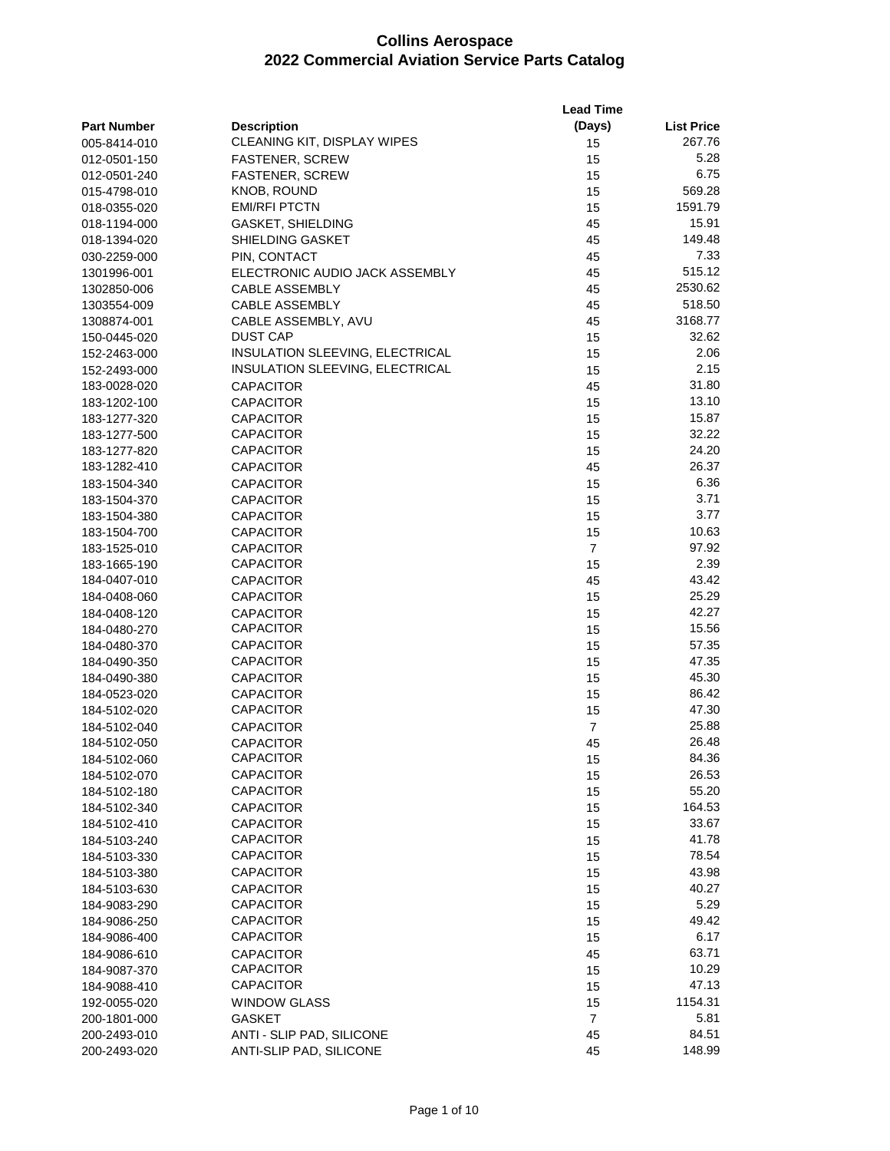| (Days)<br><b>Part Number</b><br><b>Description</b><br><b>List Price</b><br>CLEANING KIT, DISPLAY WIPES<br>15<br>267.76<br>005-8414-010<br>5.28<br><b>FASTENER, SCREW</b><br>15<br>012-0501-150<br>6.75<br><b>FASTENER, SCREW</b><br>15<br>012-0501-240<br>569.28<br>KNOB, ROUND<br>15<br>015-4798-010<br><b>EMI/RFI PTCTN</b><br>1591.79<br>15<br>018-0355-020<br>15.91<br><b>GASKET, SHIELDING</b><br>45<br>018-1194-000<br>149.48<br>45<br>018-1394-020<br>SHIELDING GASKET<br>7.33<br>PIN, CONTACT<br>45<br>030-2259-000<br>515.12<br>45<br>1301996-001<br>ELECTRONIC AUDIO JACK ASSEMBLY<br>2530.62<br><b>CABLE ASSEMBLY</b><br>45<br>1302850-006<br>518.50<br><b>CABLE ASSEMBLY</b><br>45<br>1303554-009<br>3168.77<br>CABLE ASSEMBLY, AVU<br>45<br>1308874-001<br><b>DUST CAP</b><br>32.62<br>15<br>150-0445-020<br>INSULATION SLEEVING, ELECTRICAL<br>2.06<br>15<br>152-2463-000<br>INSULATION SLEEVING, ELECTRICAL<br>2.15<br>15<br>152-2493-000<br>31.80<br>183-0028-020<br><b>CAPACITOR</b><br>45<br>13.10<br>183-1202-100<br><b>CAPACITOR</b><br>15<br>15.87<br>183-1277-320<br><b>CAPACITOR</b><br>15<br>32.22<br><b>CAPACITOR</b><br>15<br>183-1277-500<br><b>CAPACITOR</b><br>24.20<br>15<br>183-1277-820<br>26.37<br>183-1282-410<br><b>CAPACITOR</b><br>45<br><b>CAPACITOR</b><br>15<br>6.36<br>183-1504-340<br>3.71<br>15<br>183-1504-370<br><b>CAPACITOR</b><br>3.77<br>15<br>183-1504-380<br><b>CAPACITOR</b><br>10.63<br><b>CAPACITOR</b><br>15<br>183-1504-700<br>97.92<br>$\overline{7}$<br><b>CAPACITOR</b><br>183-1525-010<br><b>CAPACITOR</b><br>2.39<br>15<br>183-1665-190<br>43.42<br><b>CAPACITOR</b><br>45<br>184-0407-010<br>25.29<br><b>CAPACITOR</b><br>15<br>184-0408-060<br>42.27<br><b>CAPACITOR</b><br>15<br>184-0408-120<br>15.56<br><b>CAPACITOR</b><br>15<br>184-0480-270<br>57.35<br><b>CAPACITOR</b><br>15<br>184-0480-370<br>47.35<br><b>CAPACITOR</b><br>15<br>184-0490-350<br>45.30<br><b>CAPACITOR</b><br>15<br>184-0490-380<br>86.42<br><b>CAPACITOR</b><br>15<br>184-0523-020<br><b>CAPACITOR</b><br>47.30<br>15<br>184-5102-020<br>25.88<br>$\overline{7}$<br>184-5102-040<br><b>CAPACITOR</b><br>184-5102-050<br>26.48<br><b>CAPACITOR</b><br>45<br><b>CAPACITOR</b><br>15<br>84.36<br>184-5102-060<br><b>CAPACITOR</b><br>26.53<br>15<br>184-5102-070<br>55.20<br><b>CAPACITOR</b><br>15<br>184-5102-180<br>164.53<br><b>CAPACITOR</b><br>15<br>184-5102-340<br>33.67<br><b>CAPACITOR</b><br>15<br>184-5102-410<br>41.78<br><b>CAPACITOR</b><br>184-5103-240<br>15<br><b>CAPACITOR</b><br>78.54<br>15<br>184-5103-330<br><b>CAPACITOR</b><br>43.98<br>15<br>184-5103-380<br>40.27<br><b>CAPACITOR</b><br>15<br>184-5103-630<br><b>CAPACITOR</b><br>5.29<br>15<br>184-9083-290<br><b>CAPACITOR</b><br>49.42<br>184-9086-250<br>15<br><b>CAPACITOR</b><br>6.17<br>184-9086-400<br>15<br>63.71<br><b>CAPACITOR</b><br>184-9086-610<br>45<br>CAPACITOR<br>10.29<br>15<br>184-9087-370<br><b>CAPACITOR</b><br>47.13<br>15<br>184-9088-410<br>1154.31<br><b>WINDOW GLASS</b><br>15<br>192-0055-020<br>$\overline{7}$<br>5.81<br><b>GASKET</b><br>200-1801-000<br>ANTI - SLIP PAD, SILICONE<br>45<br>84.51<br>200-2493-010<br>148.99<br>200-2493-020<br>ANTI-SLIP PAD, SILICONE<br>45 |  | <b>Lead Time</b> |  |
|----------------------------------------------------------------------------------------------------------------------------------------------------------------------------------------------------------------------------------------------------------------------------------------------------------------------------------------------------------------------------------------------------------------------------------------------------------------------------------------------------------------------------------------------------------------------------------------------------------------------------------------------------------------------------------------------------------------------------------------------------------------------------------------------------------------------------------------------------------------------------------------------------------------------------------------------------------------------------------------------------------------------------------------------------------------------------------------------------------------------------------------------------------------------------------------------------------------------------------------------------------------------------------------------------------------------------------------------------------------------------------------------------------------------------------------------------------------------------------------------------------------------------------------------------------------------------------------------------------------------------------------------------------------------------------------------------------------------------------------------------------------------------------------------------------------------------------------------------------------------------------------------------------------------------------------------------------------------------------------------------------------------------------------------------------------------------------------------------------------------------------------------------------------------------------------------------------------------------------------------------------------------------------------------------------------------------------------------------------------------------------------------------------------------------------------------------------------------------------------------------------------------------------------------------------------------------------------------------------------------------------------------------------------------------------------------------------------------------------------------------------------------------------------------------------------------------------------------------------------------------------------------------------------------------------------------------------------------------------------------------------------------------------------------------------------------------------------------------------------------------------------------------------------------------------------------------------------------------------|--|------------------|--|
|                                                                                                                                                                                                                                                                                                                                                                                                                                                                                                                                                                                                                                                                                                                                                                                                                                                                                                                                                                                                                                                                                                                                                                                                                                                                                                                                                                                                                                                                                                                                                                                                                                                                                                                                                                                                                                                                                                                                                                                                                                                                                                                                                                                                                                                                                                                                                                                                                                                                                                                                                                                                                                                                                                                                                                                                                                                                                                                                                                                                                                                                                                                                                                                                                                  |  |                  |  |
|                                                                                                                                                                                                                                                                                                                                                                                                                                                                                                                                                                                                                                                                                                                                                                                                                                                                                                                                                                                                                                                                                                                                                                                                                                                                                                                                                                                                                                                                                                                                                                                                                                                                                                                                                                                                                                                                                                                                                                                                                                                                                                                                                                                                                                                                                                                                                                                                                                                                                                                                                                                                                                                                                                                                                                                                                                                                                                                                                                                                                                                                                                                                                                                                                                  |  |                  |  |
|                                                                                                                                                                                                                                                                                                                                                                                                                                                                                                                                                                                                                                                                                                                                                                                                                                                                                                                                                                                                                                                                                                                                                                                                                                                                                                                                                                                                                                                                                                                                                                                                                                                                                                                                                                                                                                                                                                                                                                                                                                                                                                                                                                                                                                                                                                                                                                                                                                                                                                                                                                                                                                                                                                                                                                                                                                                                                                                                                                                                                                                                                                                                                                                                                                  |  |                  |  |
|                                                                                                                                                                                                                                                                                                                                                                                                                                                                                                                                                                                                                                                                                                                                                                                                                                                                                                                                                                                                                                                                                                                                                                                                                                                                                                                                                                                                                                                                                                                                                                                                                                                                                                                                                                                                                                                                                                                                                                                                                                                                                                                                                                                                                                                                                                                                                                                                                                                                                                                                                                                                                                                                                                                                                                                                                                                                                                                                                                                                                                                                                                                                                                                                                                  |  |                  |  |
|                                                                                                                                                                                                                                                                                                                                                                                                                                                                                                                                                                                                                                                                                                                                                                                                                                                                                                                                                                                                                                                                                                                                                                                                                                                                                                                                                                                                                                                                                                                                                                                                                                                                                                                                                                                                                                                                                                                                                                                                                                                                                                                                                                                                                                                                                                                                                                                                                                                                                                                                                                                                                                                                                                                                                                                                                                                                                                                                                                                                                                                                                                                                                                                                                                  |  |                  |  |
|                                                                                                                                                                                                                                                                                                                                                                                                                                                                                                                                                                                                                                                                                                                                                                                                                                                                                                                                                                                                                                                                                                                                                                                                                                                                                                                                                                                                                                                                                                                                                                                                                                                                                                                                                                                                                                                                                                                                                                                                                                                                                                                                                                                                                                                                                                                                                                                                                                                                                                                                                                                                                                                                                                                                                                                                                                                                                                                                                                                                                                                                                                                                                                                                                                  |  |                  |  |
|                                                                                                                                                                                                                                                                                                                                                                                                                                                                                                                                                                                                                                                                                                                                                                                                                                                                                                                                                                                                                                                                                                                                                                                                                                                                                                                                                                                                                                                                                                                                                                                                                                                                                                                                                                                                                                                                                                                                                                                                                                                                                                                                                                                                                                                                                                                                                                                                                                                                                                                                                                                                                                                                                                                                                                                                                                                                                                                                                                                                                                                                                                                                                                                                                                  |  |                  |  |
|                                                                                                                                                                                                                                                                                                                                                                                                                                                                                                                                                                                                                                                                                                                                                                                                                                                                                                                                                                                                                                                                                                                                                                                                                                                                                                                                                                                                                                                                                                                                                                                                                                                                                                                                                                                                                                                                                                                                                                                                                                                                                                                                                                                                                                                                                                                                                                                                                                                                                                                                                                                                                                                                                                                                                                                                                                                                                                                                                                                                                                                                                                                                                                                                                                  |  |                  |  |
|                                                                                                                                                                                                                                                                                                                                                                                                                                                                                                                                                                                                                                                                                                                                                                                                                                                                                                                                                                                                                                                                                                                                                                                                                                                                                                                                                                                                                                                                                                                                                                                                                                                                                                                                                                                                                                                                                                                                                                                                                                                                                                                                                                                                                                                                                                                                                                                                                                                                                                                                                                                                                                                                                                                                                                                                                                                                                                                                                                                                                                                                                                                                                                                                                                  |  |                  |  |
|                                                                                                                                                                                                                                                                                                                                                                                                                                                                                                                                                                                                                                                                                                                                                                                                                                                                                                                                                                                                                                                                                                                                                                                                                                                                                                                                                                                                                                                                                                                                                                                                                                                                                                                                                                                                                                                                                                                                                                                                                                                                                                                                                                                                                                                                                                                                                                                                                                                                                                                                                                                                                                                                                                                                                                                                                                                                                                                                                                                                                                                                                                                                                                                                                                  |  |                  |  |
|                                                                                                                                                                                                                                                                                                                                                                                                                                                                                                                                                                                                                                                                                                                                                                                                                                                                                                                                                                                                                                                                                                                                                                                                                                                                                                                                                                                                                                                                                                                                                                                                                                                                                                                                                                                                                                                                                                                                                                                                                                                                                                                                                                                                                                                                                                                                                                                                                                                                                                                                                                                                                                                                                                                                                                                                                                                                                                                                                                                                                                                                                                                                                                                                                                  |  |                  |  |
|                                                                                                                                                                                                                                                                                                                                                                                                                                                                                                                                                                                                                                                                                                                                                                                                                                                                                                                                                                                                                                                                                                                                                                                                                                                                                                                                                                                                                                                                                                                                                                                                                                                                                                                                                                                                                                                                                                                                                                                                                                                                                                                                                                                                                                                                                                                                                                                                                                                                                                                                                                                                                                                                                                                                                                                                                                                                                                                                                                                                                                                                                                                                                                                                                                  |  |                  |  |
|                                                                                                                                                                                                                                                                                                                                                                                                                                                                                                                                                                                                                                                                                                                                                                                                                                                                                                                                                                                                                                                                                                                                                                                                                                                                                                                                                                                                                                                                                                                                                                                                                                                                                                                                                                                                                                                                                                                                                                                                                                                                                                                                                                                                                                                                                                                                                                                                                                                                                                                                                                                                                                                                                                                                                                                                                                                                                                                                                                                                                                                                                                                                                                                                                                  |  |                  |  |
|                                                                                                                                                                                                                                                                                                                                                                                                                                                                                                                                                                                                                                                                                                                                                                                                                                                                                                                                                                                                                                                                                                                                                                                                                                                                                                                                                                                                                                                                                                                                                                                                                                                                                                                                                                                                                                                                                                                                                                                                                                                                                                                                                                                                                                                                                                                                                                                                                                                                                                                                                                                                                                                                                                                                                                                                                                                                                                                                                                                                                                                                                                                                                                                                                                  |  |                  |  |
|                                                                                                                                                                                                                                                                                                                                                                                                                                                                                                                                                                                                                                                                                                                                                                                                                                                                                                                                                                                                                                                                                                                                                                                                                                                                                                                                                                                                                                                                                                                                                                                                                                                                                                                                                                                                                                                                                                                                                                                                                                                                                                                                                                                                                                                                                                                                                                                                                                                                                                                                                                                                                                                                                                                                                                                                                                                                                                                                                                                                                                                                                                                                                                                                                                  |  |                  |  |
|                                                                                                                                                                                                                                                                                                                                                                                                                                                                                                                                                                                                                                                                                                                                                                                                                                                                                                                                                                                                                                                                                                                                                                                                                                                                                                                                                                                                                                                                                                                                                                                                                                                                                                                                                                                                                                                                                                                                                                                                                                                                                                                                                                                                                                                                                                                                                                                                                                                                                                                                                                                                                                                                                                                                                                                                                                                                                                                                                                                                                                                                                                                                                                                                                                  |  |                  |  |
|                                                                                                                                                                                                                                                                                                                                                                                                                                                                                                                                                                                                                                                                                                                                                                                                                                                                                                                                                                                                                                                                                                                                                                                                                                                                                                                                                                                                                                                                                                                                                                                                                                                                                                                                                                                                                                                                                                                                                                                                                                                                                                                                                                                                                                                                                                                                                                                                                                                                                                                                                                                                                                                                                                                                                                                                                                                                                                                                                                                                                                                                                                                                                                                                                                  |  |                  |  |
|                                                                                                                                                                                                                                                                                                                                                                                                                                                                                                                                                                                                                                                                                                                                                                                                                                                                                                                                                                                                                                                                                                                                                                                                                                                                                                                                                                                                                                                                                                                                                                                                                                                                                                                                                                                                                                                                                                                                                                                                                                                                                                                                                                                                                                                                                                                                                                                                                                                                                                                                                                                                                                                                                                                                                                                                                                                                                                                                                                                                                                                                                                                                                                                                                                  |  |                  |  |
|                                                                                                                                                                                                                                                                                                                                                                                                                                                                                                                                                                                                                                                                                                                                                                                                                                                                                                                                                                                                                                                                                                                                                                                                                                                                                                                                                                                                                                                                                                                                                                                                                                                                                                                                                                                                                                                                                                                                                                                                                                                                                                                                                                                                                                                                                                                                                                                                                                                                                                                                                                                                                                                                                                                                                                                                                                                                                                                                                                                                                                                                                                                                                                                                                                  |  |                  |  |
|                                                                                                                                                                                                                                                                                                                                                                                                                                                                                                                                                                                                                                                                                                                                                                                                                                                                                                                                                                                                                                                                                                                                                                                                                                                                                                                                                                                                                                                                                                                                                                                                                                                                                                                                                                                                                                                                                                                                                                                                                                                                                                                                                                                                                                                                                                                                                                                                                                                                                                                                                                                                                                                                                                                                                                                                                                                                                                                                                                                                                                                                                                                                                                                                                                  |  |                  |  |
|                                                                                                                                                                                                                                                                                                                                                                                                                                                                                                                                                                                                                                                                                                                                                                                                                                                                                                                                                                                                                                                                                                                                                                                                                                                                                                                                                                                                                                                                                                                                                                                                                                                                                                                                                                                                                                                                                                                                                                                                                                                                                                                                                                                                                                                                                                                                                                                                                                                                                                                                                                                                                                                                                                                                                                                                                                                                                                                                                                                                                                                                                                                                                                                                                                  |  |                  |  |
|                                                                                                                                                                                                                                                                                                                                                                                                                                                                                                                                                                                                                                                                                                                                                                                                                                                                                                                                                                                                                                                                                                                                                                                                                                                                                                                                                                                                                                                                                                                                                                                                                                                                                                                                                                                                                                                                                                                                                                                                                                                                                                                                                                                                                                                                                                                                                                                                                                                                                                                                                                                                                                                                                                                                                                                                                                                                                                                                                                                                                                                                                                                                                                                                                                  |  |                  |  |
|                                                                                                                                                                                                                                                                                                                                                                                                                                                                                                                                                                                                                                                                                                                                                                                                                                                                                                                                                                                                                                                                                                                                                                                                                                                                                                                                                                                                                                                                                                                                                                                                                                                                                                                                                                                                                                                                                                                                                                                                                                                                                                                                                                                                                                                                                                                                                                                                                                                                                                                                                                                                                                                                                                                                                                                                                                                                                                                                                                                                                                                                                                                                                                                                                                  |  |                  |  |
|                                                                                                                                                                                                                                                                                                                                                                                                                                                                                                                                                                                                                                                                                                                                                                                                                                                                                                                                                                                                                                                                                                                                                                                                                                                                                                                                                                                                                                                                                                                                                                                                                                                                                                                                                                                                                                                                                                                                                                                                                                                                                                                                                                                                                                                                                                                                                                                                                                                                                                                                                                                                                                                                                                                                                                                                                                                                                                                                                                                                                                                                                                                                                                                                                                  |  |                  |  |
|                                                                                                                                                                                                                                                                                                                                                                                                                                                                                                                                                                                                                                                                                                                                                                                                                                                                                                                                                                                                                                                                                                                                                                                                                                                                                                                                                                                                                                                                                                                                                                                                                                                                                                                                                                                                                                                                                                                                                                                                                                                                                                                                                                                                                                                                                                                                                                                                                                                                                                                                                                                                                                                                                                                                                                                                                                                                                                                                                                                                                                                                                                                                                                                                                                  |  |                  |  |
|                                                                                                                                                                                                                                                                                                                                                                                                                                                                                                                                                                                                                                                                                                                                                                                                                                                                                                                                                                                                                                                                                                                                                                                                                                                                                                                                                                                                                                                                                                                                                                                                                                                                                                                                                                                                                                                                                                                                                                                                                                                                                                                                                                                                                                                                                                                                                                                                                                                                                                                                                                                                                                                                                                                                                                                                                                                                                                                                                                                                                                                                                                                                                                                                                                  |  |                  |  |
|                                                                                                                                                                                                                                                                                                                                                                                                                                                                                                                                                                                                                                                                                                                                                                                                                                                                                                                                                                                                                                                                                                                                                                                                                                                                                                                                                                                                                                                                                                                                                                                                                                                                                                                                                                                                                                                                                                                                                                                                                                                                                                                                                                                                                                                                                                                                                                                                                                                                                                                                                                                                                                                                                                                                                                                                                                                                                                                                                                                                                                                                                                                                                                                                                                  |  |                  |  |
|                                                                                                                                                                                                                                                                                                                                                                                                                                                                                                                                                                                                                                                                                                                                                                                                                                                                                                                                                                                                                                                                                                                                                                                                                                                                                                                                                                                                                                                                                                                                                                                                                                                                                                                                                                                                                                                                                                                                                                                                                                                                                                                                                                                                                                                                                                                                                                                                                                                                                                                                                                                                                                                                                                                                                                                                                                                                                                                                                                                                                                                                                                                                                                                                                                  |  |                  |  |
|                                                                                                                                                                                                                                                                                                                                                                                                                                                                                                                                                                                                                                                                                                                                                                                                                                                                                                                                                                                                                                                                                                                                                                                                                                                                                                                                                                                                                                                                                                                                                                                                                                                                                                                                                                                                                                                                                                                                                                                                                                                                                                                                                                                                                                                                                                                                                                                                                                                                                                                                                                                                                                                                                                                                                                                                                                                                                                                                                                                                                                                                                                                                                                                                                                  |  |                  |  |
|                                                                                                                                                                                                                                                                                                                                                                                                                                                                                                                                                                                                                                                                                                                                                                                                                                                                                                                                                                                                                                                                                                                                                                                                                                                                                                                                                                                                                                                                                                                                                                                                                                                                                                                                                                                                                                                                                                                                                                                                                                                                                                                                                                                                                                                                                                                                                                                                                                                                                                                                                                                                                                                                                                                                                                                                                                                                                                                                                                                                                                                                                                                                                                                                                                  |  |                  |  |
|                                                                                                                                                                                                                                                                                                                                                                                                                                                                                                                                                                                                                                                                                                                                                                                                                                                                                                                                                                                                                                                                                                                                                                                                                                                                                                                                                                                                                                                                                                                                                                                                                                                                                                                                                                                                                                                                                                                                                                                                                                                                                                                                                                                                                                                                                                                                                                                                                                                                                                                                                                                                                                                                                                                                                                                                                                                                                                                                                                                                                                                                                                                                                                                                                                  |  |                  |  |
|                                                                                                                                                                                                                                                                                                                                                                                                                                                                                                                                                                                                                                                                                                                                                                                                                                                                                                                                                                                                                                                                                                                                                                                                                                                                                                                                                                                                                                                                                                                                                                                                                                                                                                                                                                                                                                                                                                                                                                                                                                                                                                                                                                                                                                                                                                                                                                                                                                                                                                                                                                                                                                                                                                                                                                                                                                                                                                                                                                                                                                                                                                                                                                                                                                  |  |                  |  |
|                                                                                                                                                                                                                                                                                                                                                                                                                                                                                                                                                                                                                                                                                                                                                                                                                                                                                                                                                                                                                                                                                                                                                                                                                                                                                                                                                                                                                                                                                                                                                                                                                                                                                                                                                                                                                                                                                                                                                                                                                                                                                                                                                                                                                                                                                                                                                                                                                                                                                                                                                                                                                                                                                                                                                                                                                                                                                                                                                                                                                                                                                                                                                                                                                                  |  |                  |  |
|                                                                                                                                                                                                                                                                                                                                                                                                                                                                                                                                                                                                                                                                                                                                                                                                                                                                                                                                                                                                                                                                                                                                                                                                                                                                                                                                                                                                                                                                                                                                                                                                                                                                                                                                                                                                                                                                                                                                                                                                                                                                                                                                                                                                                                                                                                                                                                                                                                                                                                                                                                                                                                                                                                                                                                                                                                                                                                                                                                                                                                                                                                                                                                                                                                  |  |                  |  |
|                                                                                                                                                                                                                                                                                                                                                                                                                                                                                                                                                                                                                                                                                                                                                                                                                                                                                                                                                                                                                                                                                                                                                                                                                                                                                                                                                                                                                                                                                                                                                                                                                                                                                                                                                                                                                                                                                                                                                                                                                                                                                                                                                                                                                                                                                                                                                                                                                                                                                                                                                                                                                                                                                                                                                                                                                                                                                                                                                                                                                                                                                                                                                                                                                                  |  |                  |  |
|                                                                                                                                                                                                                                                                                                                                                                                                                                                                                                                                                                                                                                                                                                                                                                                                                                                                                                                                                                                                                                                                                                                                                                                                                                                                                                                                                                                                                                                                                                                                                                                                                                                                                                                                                                                                                                                                                                                                                                                                                                                                                                                                                                                                                                                                                                                                                                                                                                                                                                                                                                                                                                                                                                                                                                                                                                                                                                                                                                                                                                                                                                                                                                                                                                  |  |                  |  |
|                                                                                                                                                                                                                                                                                                                                                                                                                                                                                                                                                                                                                                                                                                                                                                                                                                                                                                                                                                                                                                                                                                                                                                                                                                                                                                                                                                                                                                                                                                                                                                                                                                                                                                                                                                                                                                                                                                                                                                                                                                                                                                                                                                                                                                                                                                                                                                                                                                                                                                                                                                                                                                                                                                                                                                                                                                                                                                                                                                                                                                                                                                                                                                                                                                  |  |                  |  |
|                                                                                                                                                                                                                                                                                                                                                                                                                                                                                                                                                                                                                                                                                                                                                                                                                                                                                                                                                                                                                                                                                                                                                                                                                                                                                                                                                                                                                                                                                                                                                                                                                                                                                                                                                                                                                                                                                                                                                                                                                                                                                                                                                                                                                                                                                                                                                                                                                                                                                                                                                                                                                                                                                                                                                                                                                                                                                                                                                                                                                                                                                                                                                                                                                                  |  |                  |  |
|                                                                                                                                                                                                                                                                                                                                                                                                                                                                                                                                                                                                                                                                                                                                                                                                                                                                                                                                                                                                                                                                                                                                                                                                                                                                                                                                                                                                                                                                                                                                                                                                                                                                                                                                                                                                                                                                                                                                                                                                                                                                                                                                                                                                                                                                                                                                                                                                                                                                                                                                                                                                                                                                                                                                                                                                                                                                                                                                                                                                                                                                                                                                                                                                                                  |  |                  |  |
|                                                                                                                                                                                                                                                                                                                                                                                                                                                                                                                                                                                                                                                                                                                                                                                                                                                                                                                                                                                                                                                                                                                                                                                                                                                                                                                                                                                                                                                                                                                                                                                                                                                                                                                                                                                                                                                                                                                                                                                                                                                                                                                                                                                                                                                                                                                                                                                                                                                                                                                                                                                                                                                                                                                                                                                                                                                                                                                                                                                                                                                                                                                                                                                                                                  |  |                  |  |
|                                                                                                                                                                                                                                                                                                                                                                                                                                                                                                                                                                                                                                                                                                                                                                                                                                                                                                                                                                                                                                                                                                                                                                                                                                                                                                                                                                                                                                                                                                                                                                                                                                                                                                                                                                                                                                                                                                                                                                                                                                                                                                                                                                                                                                                                                                                                                                                                                                                                                                                                                                                                                                                                                                                                                                                                                                                                                                                                                                                                                                                                                                                                                                                                                                  |  |                  |  |
|                                                                                                                                                                                                                                                                                                                                                                                                                                                                                                                                                                                                                                                                                                                                                                                                                                                                                                                                                                                                                                                                                                                                                                                                                                                                                                                                                                                                                                                                                                                                                                                                                                                                                                                                                                                                                                                                                                                                                                                                                                                                                                                                                                                                                                                                                                                                                                                                                                                                                                                                                                                                                                                                                                                                                                                                                                                                                                                                                                                                                                                                                                                                                                                                                                  |  |                  |  |
|                                                                                                                                                                                                                                                                                                                                                                                                                                                                                                                                                                                                                                                                                                                                                                                                                                                                                                                                                                                                                                                                                                                                                                                                                                                                                                                                                                                                                                                                                                                                                                                                                                                                                                                                                                                                                                                                                                                                                                                                                                                                                                                                                                                                                                                                                                                                                                                                                                                                                                                                                                                                                                                                                                                                                                                                                                                                                                                                                                                                                                                                                                                                                                                                                                  |  |                  |  |
|                                                                                                                                                                                                                                                                                                                                                                                                                                                                                                                                                                                                                                                                                                                                                                                                                                                                                                                                                                                                                                                                                                                                                                                                                                                                                                                                                                                                                                                                                                                                                                                                                                                                                                                                                                                                                                                                                                                                                                                                                                                                                                                                                                                                                                                                                                                                                                                                                                                                                                                                                                                                                                                                                                                                                                                                                                                                                                                                                                                                                                                                                                                                                                                                                                  |  |                  |  |
|                                                                                                                                                                                                                                                                                                                                                                                                                                                                                                                                                                                                                                                                                                                                                                                                                                                                                                                                                                                                                                                                                                                                                                                                                                                                                                                                                                                                                                                                                                                                                                                                                                                                                                                                                                                                                                                                                                                                                                                                                                                                                                                                                                                                                                                                                                                                                                                                                                                                                                                                                                                                                                                                                                                                                                                                                                                                                                                                                                                                                                                                                                                                                                                                                                  |  |                  |  |
|                                                                                                                                                                                                                                                                                                                                                                                                                                                                                                                                                                                                                                                                                                                                                                                                                                                                                                                                                                                                                                                                                                                                                                                                                                                                                                                                                                                                                                                                                                                                                                                                                                                                                                                                                                                                                                                                                                                                                                                                                                                                                                                                                                                                                                                                                                                                                                                                                                                                                                                                                                                                                                                                                                                                                                                                                                                                                                                                                                                                                                                                                                                                                                                                                                  |  |                  |  |
|                                                                                                                                                                                                                                                                                                                                                                                                                                                                                                                                                                                                                                                                                                                                                                                                                                                                                                                                                                                                                                                                                                                                                                                                                                                                                                                                                                                                                                                                                                                                                                                                                                                                                                                                                                                                                                                                                                                                                                                                                                                                                                                                                                                                                                                                                                                                                                                                                                                                                                                                                                                                                                                                                                                                                                                                                                                                                                                                                                                                                                                                                                                                                                                                                                  |  |                  |  |
|                                                                                                                                                                                                                                                                                                                                                                                                                                                                                                                                                                                                                                                                                                                                                                                                                                                                                                                                                                                                                                                                                                                                                                                                                                                                                                                                                                                                                                                                                                                                                                                                                                                                                                                                                                                                                                                                                                                                                                                                                                                                                                                                                                                                                                                                                                                                                                                                                                                                                                                                                                                                                                                                                                                                                                                                                                                                                                                                                                                                                                                                                                                                                                                                                                  |  |                  |  |
|                                                                                                                                                                                                                                                                                                                                                                                                                                                                                                                                                                                                                                                                                                                                                                                                                                                                                                                                                                                                                                                                                                                                                                                                                                                                                                                                                                                                                                                                                                                                                                                                                                                                                                                                                                                                                                                                                                                                                                                                                                                                                                                                                                                                                                                                                                                                                                                                                                                                                                                                                                                                                                                                                                                                                                                                                                                                                                                                                                                                                                                                                                                                                                                                                                  |  |                  |  |
|                                                                                                                                                                                                                                                                                                                                                                                                                                                                                                                                                                                                                                                                                                                                                                                                                                                                                                                                                                                                                                                                                                                                                                                                                                                                                                                                                                                                                                                                                                                                                                                                                                                                                                                                                                                                                                                                                                                                                                                                                                                                                                                                                                                                                                                                                                                                                                                                                                                                                                                                                                                                                                                                                                                                                                                                                                                                                                                                                                                                                                                                                                                                                                                                                                  |  |                  |  |
|                                                                                                                                                                                                                                                                                                                                                                                                                                                                                                                                                                                                                                                                                                                                                                                                                                                                                                                                                                                                                                                                                                                                                                                                                                                                                                                                                                                                                                                                                                                                                                                                                                                                                                                                                                                                                                                                                                                                                                                                                                                                                                                                                                                                                                                                                                                                                                                                                                                                                                                                                                                                                                                                                                                                                                                                                                                                                                                                                                                                                                                                                                                                                                                                                                  |  |                  |  |
|                                                                                                                                                                                                                                                                                                                                                                                                                                                                                                                                                                                                                                                                                                                                                                                                                                                                                                                                                                                                                                                                                                                                                                                                                                                                                                                                                                                                                                                                                                                                                                                                                                                                                                                                                                                                                                                                                                                                                                                                                                                                                                                                                                                                                                                                                                                                                                                                                                                                                                                                                                                                                                                                                                                                                                                                                                                                                                                                                                                                                                                                                                                                                                                                                                  |  |                  |  |
|                                                                                                                                                                                                                                                                                                                                                                                                                                                                                                                                                                                                                                                                                                                                                                                                                                                                                                                                                                                                                                                                                                                                                                                                                                                                                                                                                                                                                                                                                                                                                                                                                                                                                                                                                                                                                                                                                                                                                                                                                                                                                                                                                                                                                                                                                                                                                                                                                                                                                                                                                                                                                                                                                                                                                                                                                                                                                                                                                                                                                                                                                                                                                                                                                                  |  |                  |  |
|                                                                                                                                                                                                                                                                                                                                                                                                                                                                                                                                                                                                                                                                                                                                                                                                                                                                                                                                                                                                                                                                                                                                                                                                                                                                                                                                                                                                                                                                                                                                                                                                                                                                                                                                                                                                                                                                                                                                                                                                                                                                                                                                                                                                                                                                                                                                                                                                                                                                                                                                                                                                                                                                                                                                                                                                                                                                                                                                                                                                                                                                                                                                                                                                                                  |  |                  |  |
|                                                                                                                                                                                                                                                                                                                                                                                                                                                                                                                                                                                                                                                                                                                                                                                                                                                                                                                                                                                                                                                                                                                                                                                                                                                                                                                                                                                                                                                                                                                                                                                                                                                                                                                                                                                                                                                                                                                                                                                                                                                                                                                                                                                                                                                                                                                                                                                                                                                                                                                                                                                                                                                                                                                                                                                                                                                                                                                                                                                                                                                                                                                                                                                                                                  |  |                  |  |
|                                                                                                                                                                                                                                                                                                                                                                                                                                                                                                                                                                                                                                                                                                                                                                                                                                                                                                                                                                                                                                                                                                                                                                                                                                                                                                                                                                                                                                                                                                                                                                                                                                                                                                                                                                                                                                                                                                                                                                                                                                                                                                                                                                                                                                                                                                                                                                                                                                                                                                                                                                                                                                                                                                                                                                                                                                                                                                                                                                                                                                                                                                                                                                                                                                  |  |                  |  |
|                                                                                                                                                                                                                                                                                                                                                                                                                                                                                                                                                                                                                                                                                                                                                                                                                                                                                                                                                                                                                                                                                                                                                                                                                                                                                                                                                                                                                                                                                                                                                                                                                                                                                                                                                                                                                                                                                                                                                                                                                                                                                                                                                                                                                                                                                                                                                                                                                                                                                                                                                                                                                                                                                                                                                                                                                                                                                                                                                                                                                                                                                                                                                                                                                                  |  |                  |  |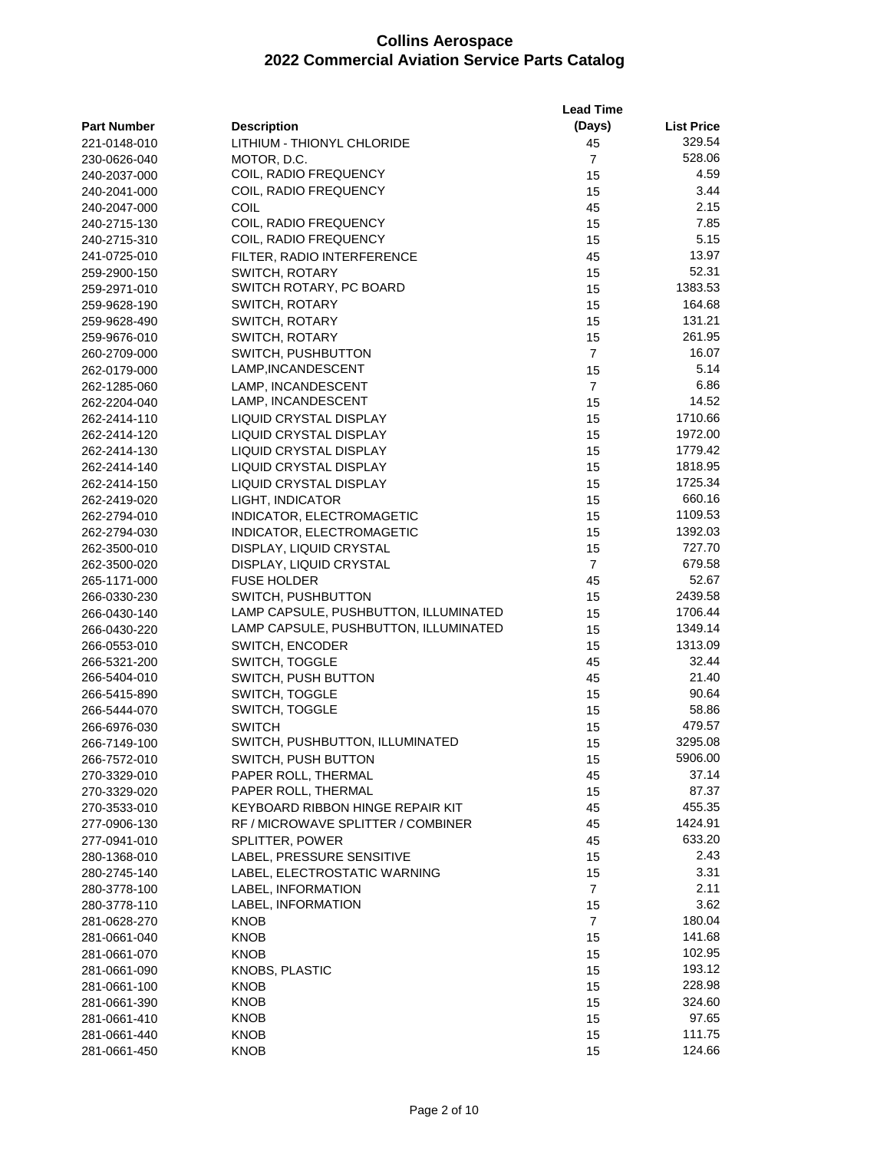|                              |                                          | <b>Lead Time</b>     |                   |
|------------------------------|------------------------------------------|----------------------|-------------------|
| <b>Part Number</b>           | <b>Description</b>                       | (Days)               | <b>List Price</b> |
| 221-0148-010                 | LITHIUM - THIONYL CHLORIDE               | 45                   | 329.54            |
| 230-0626-040                 | MOTOR, D.C.                              | $\overline{7}$       | 528.06            |
| 240-2037-000                 | COIL, RADIO FREQUENCY                    | 15                   | 4.59              |
| 240-2041-000                 | COIL, RADIO FREQUENCY                    | 15                   | 3.44              |
| 240-2047-000                 | COIL                                     | 45                   | 2.15              |
| 240-2715-130                 | COIL, RADIO FREQUENCY                    | 15                   | 7.85              |
| 240-2715-310                 | COIL, RADIO FREQUENCY                    | 15                   | 5.15              |
| 241-0725-010                 | FILTER, RADIO INTERFERENCE               | 45                   | 13.97             |
| 259-2900-150                 | SWITCH, ROTARY                           | 15                   | 52.31             |
| 259-2971-010                 | SWITCH ROTARY, PC BOARD                  | 15                   | 1383.53           |
| 259-9628-190                 | SWITCH, ROTARY                           | 15                   | 164.68            |
| 259-9628-490                 | SWITCH, ROTARY                           | 15                   | 131.21            |
| 259-9676-010                 | SWITCH, ROTARY                           | 15                   | 261.95            |
| 260-2709-000                 | SWITCH, PUSHBUTTON                       | $\overline{7}$       | 16.07             |
| 262-0179-000                 | LAMP, INCANDESCENT                       | 15                   | 5.14              |
| 262-1285-060                 | LAMP, INCANDESCENT                       | $\overline{7}$       | 6.86              |
| 262-2204-040                 | LAMP, INCANDESCENT                       | 15                   | 14.52             |
| 262-2414-110                 | LIQUID CRYSTAL DISPLAY                   | 15                   | 1710.66           |
| 262-2414-120                 | LIQUID CRYSTAL DISPLAY                   | 15                   | 1972.00           |
| 262-2414-130                 | <b>LIQUID CRYSTAL DISPLAY</b>            | 15                   | 1779.42           |
| 262-2414-140                 | LIQUID CRYSTAL DISPLAY                   | 15                   | 1818.95           |
| 262-2414-150                 | LIQUID CRYSTAL DISPLAY                   | 15                   | 1725.34           |
| 262-2419-020                 | LIGHT, INDICATOR                         | 15                   | 660.16            |
| 262-2794-010                 | INDICATOR, ELECTROMAGETIC                | 15                   | 1109.53           |
| 262-2794-030                 | INDICATOR, ELECTROMAGETIC                | 15                   | 1392.03           |
| 262-3500-010                 | DISPLAY, LIQUID CRYSTAL                  | 15                   | 727.70            |
| 262-3500-020                 | DISPLAY, LIQUID CRYSTAL                  | $\overline{7}$       | 679.58            |
| 265-1171-000                 | <b>FUSE HOLDER</b>                       | 45                   | 52.67             |
| 266-0330-230                 | SWITCH, PUSHBUTTON                       | 15                   | 2439.58           |
| 266-0430-140                 | LAMP CAPSULE, PUSHBUTTON, ILLUMINATED    | 15                   | 1706.44           |
| 266-0430-220                 | LAMP CAPSULE, PUSHBUTTON, ILLUMINATED    | 15                   | 1349.14           |
| 266-0553-010                 | SWITCH, ENCODER                          | 15                   | 1313.09           |
| 266-5321-200                 | SWITCH, TOGGLE                           | 45                   | 32.44             |
| 266-5404-010                 | SWITCH, PUSH BUTTON                      | 45                   | 21.40             |
| 266-5415-890                 | SWITCH, TOGGLE                           | 15                   | 90.64             |
| 266-5444-070                 | SWITCH, TOGGLE                           | 15                   | 58.86             |
| 266-6976-030                 | <b>SWITCH</b>                            | 15                   | 479.57            |
| 266-7149-100                 | SWITCH, PUSHBUTTON, ILLUMINATED          | 15                   | 3295.08           |
| 266-7572-010                 | SWITCH, PUSH BUTTON                      | 15                   | 5906.00           |
| 270-3329-010                 | PAPER ROLL, THERMAL                      | 45                   | 37.14             |
| 270-3329-020                 | PAPER ROLL, THERMAL                      | 15                   | 87.37             |
| 270-3533-010                 | KEYBOARD RIBBON HINGE REPAIR KIT         | 45                   | 455.35            |
| 277-0906-130                 | RF / MICROWAVE SPLITTER / COMBINER       | 45                   | 1424.91           |
| 277-0941-010                 | SPLITTER, POWER                          | 45                   | 633.20            |
| 280-1368-010                 | LABEL, PRESSURE SENSITIVE                | 15                   | 2.43<br>3.31      |
| 280-2745-140                 | LABEL, ELECTROSTATIC WARNING             | 15                   | 2.11              |
| 280-3778-100                 | LABEL, INFORMATION<br>LABEL, INFORMATION | $\overline{7}$       | 3.62              |
| 280-3778-110                 |                                          | 15<br>$\overline{7}$ | 180.04            |
| 281-0628-270                 | KNOB                                     |                      | 141.68            |
| 281-0661-040<br>281-0661-070 | KNOB<br>KNOB                             | 15<br>15             | 102.95            |
| 281-0661-090                 | KNOBS, PLASTIC                           | 15                   | 193.12            |
| 281-0661-100                 | KNOB                                     | 15                   | 228.98            |
| 281-0661-390                 | KNOB                                     | 15                   | 324.60            |
| 281-0661-410                 | KNOB                                     | 15                   | 97.65             |
| 281-0661-440                 | KNOB                                     | 15                   | 111.75            |
| 281-0661-450                 | <b>KNOB</b>                              | 15                   | 124.66            |
|                              |                                          |                      |                   |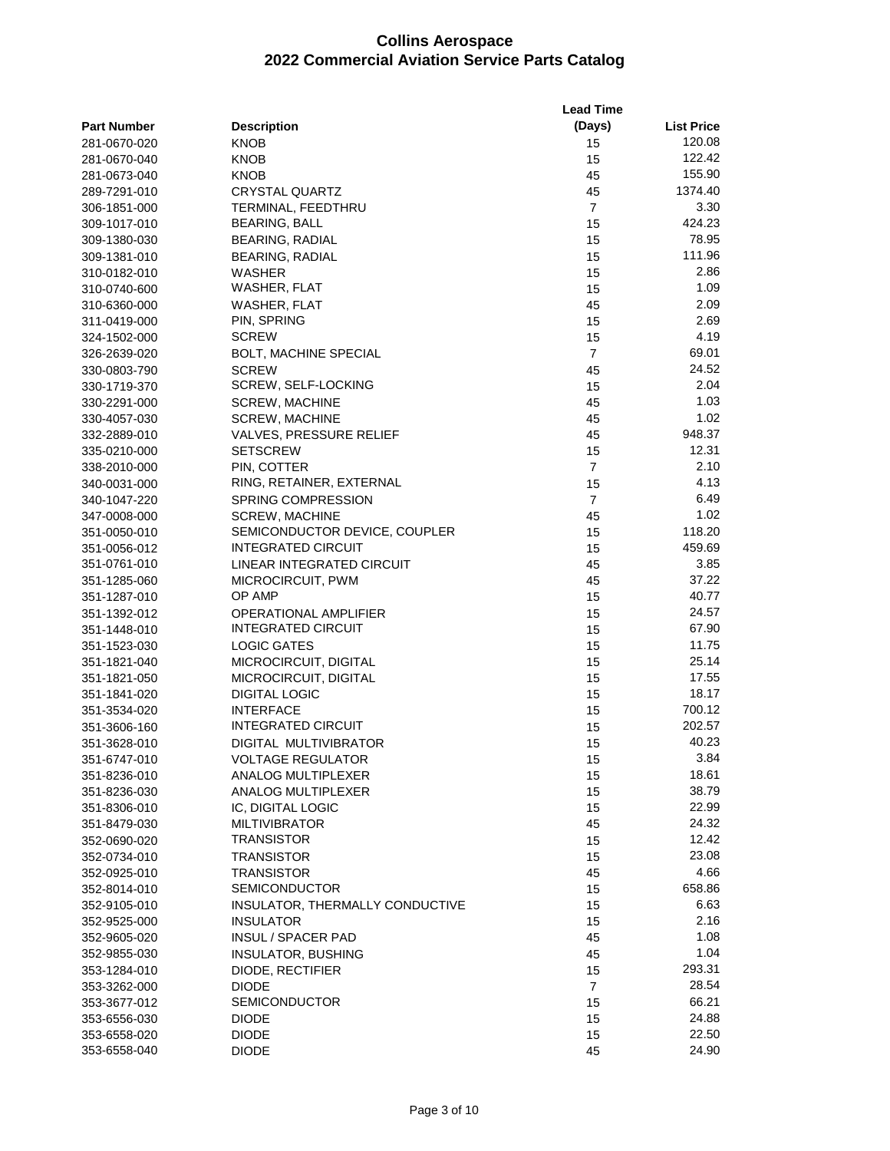|                    |                                 | <b>Lead Time</b> |                   |
|--------------------|---------------------------------|------------------|-------------------|
| <b>Part Number</b> | <b>Description</b>              | (Days)           | <b>List Price</b> |
| 281-0670-020       | KNOB                            | 15               | 120.08            |
| 281-0670-040       | KNOB                            | 15               | 122.42            |
| 281-0673-040       | KNOB                            | 45               | 155.90            |
| 289-7291-010       | CRYSTAL QUARTZ                  | 45               | 1374.40           |
| 306-1851-000       | TERMINAL, FEEDTHRU              | $\overline{7}$   | 3.30              |
| 309-1017-010       | BEARING, BALL                   | 15               | 424.23            |
| 309-1380-030       | <b>BEARING, RADIAL</b>          | 15               | 78.95             |
| 309-1381-010       | <b>BEARING, RADIAL</b>          | 15               | 111.96            |
| 310-0182-010       | WASHER                          | 15               | 2.86              |
| 310-0740-600       | WASHER, FLAT                    | 15               | 1.09              |
| 310-6360-000       | WASHER, FLAT                    | 45               | 2.09              |
| 311-0419-000       | PIN, SPRING                     | 15               | 2.69              |
| 324-1502-000       | <b>SCREW</b>                    | 15               | 4.19              |
| 326-2639-020       | <b>BOLT, MACHINE SPECIAL</b>    | $\overline{7}$   | 69.01             |
| 330-0803-790       | <b>SCREW</b>                    | 45               | 24.52             |
| 330-1719-370       | SCREW, SELF-LOCKING             | 15               | 2.04              |
| 330-2291-000       | SCREW, MACHINE                  | 45               | 1.03              |
| 330-4057-030       | <b>SCREW, MACHINE</b>           | 45               | 1.02              |
| 332-2889-010       | <b>VALVES, PRESSURE RELIEF</b>  | 45               | 948.37            |
| 335-0210-000       | <b>SETSCREW</b>                 | 15               | 12.31             |
| 338-2010-000       | PIN, COTTER                     | $\overline{7}$   | 2.10              |
| 340-0031-000       | RING, RETAINER, EXTERNAL        | 15               | 4.13              |
| 340-1047-220       | SPRING COMPRESSION              | $\overline{7}$   | 6.49              |
| 347-0008-000       | <b>SCREW, MACHINE</b>           | 45               | 1.02              |
| 351-0050-010       | SEMICONDUCTOR DEVICE, COUPLER   | 15               | 118.20            |
| 351-0056-012       | INTEGRATED CIRCUIT              | 15               | 459.69            |
| 351-0761-010       | LINEAR INTEGRATED CIRCUIT       | 45               | 3.85              |
| 351-1285-060       | MICROCIRCUIT, PWM               | 45               | 37.22             |
| 351-1287-010       | OP AMP                          | 15               | 40.77             |
| 351-1392-012       | OPERATIONAL AMPLIFIER           | 15               | 24.57             |
| 351-1448-010       | <b>INTEGRATED CIRCUIT</b>       | 15               | 67.90             |
| 351-1523-030       | <b>LOGIC GATES</b>              | 15               | 11.75             |
| 351-1821-040       | MICROCIRCUIT, DIGITAL           | 15               | 25.14             |
| 351-1821-050       | MICROCIRCUIT, DIGITAL           | 15               | 17.55             |
| 351-1841-020       | <b>DIGITAL LOGIC</b>            | 15               | 18.17             |
| 351-3534-020       | <b>INTERFACE</b>                | 15               | 700.12            |
| 351-3606-160       | <b>INTEGRATED CIRCUIT</b>       | 15               | 202.57            |
| 351-3628-010       | DIGITAL MULTIVIBRATOR           | 15               | 40.23             |
| 351-6747-010       | <b>VOLTAGE REGULATOR</b>        | 15               | 3.84              |
| 351-8236-010       | ANALOG MULTIPLEXER              | 15               | 18.61             |
| 351-8236-030       | ANALOG MULTIPLEXER              | 15               | 38.79             |
| 351-8306-010       | IC, DIGITAL LOGIC               | 15               | 22.99             |
| 351-8479-030       | <b>MILTIVIBRATOR</b>            | 45               | 24.32             |
| 352-0690-020       | <b>TRANSISTOR</b>               | 15               | 12.42             |
| 352-0734-010       | <b>TRANSISTOR</b>               | 15               | 23.08             |
| 352-0925-010       | <b>TRANSISTOR</b>               | 45               | 4.66              |
| 352-8014-010       | <b>SEMICONDUCTOR</b>            | 15               | 658.86            |
| 352-9105-010       | INSULATOR, THERMALLY CONDUCTIVE | 15               | 6.63              |
| 352-9525-000       | <b>INSULATOR</b>                | 15               | 2.16              |
| 352-9605-020       | INSUL / SPACER PAD              | 45               | 1.08              |
| 352-9855-030       | <b>INSULATOR, BUSHING</b>       | 45               | 1.04              |
| 353-1284-010       | DIODE, RECTIFIER                | 15               | 293.31            |
| 353-3262-000       | <b>DIODE</b>                    | $\overline{7}$   | 28.54             |
| 353-3677-012       | <b>SEMICONDUCTOR</b>            | 15               | 66.21             |
| 353-6556-030       | <b>DIODE</b>                    | 15               | 24.88             |
| 353-6558-020       | <b>DIODE</b>                    | 15               | 22.50             |
| 353-6558-040       | <b>DIODE</b>                    | 45               | 24.90             |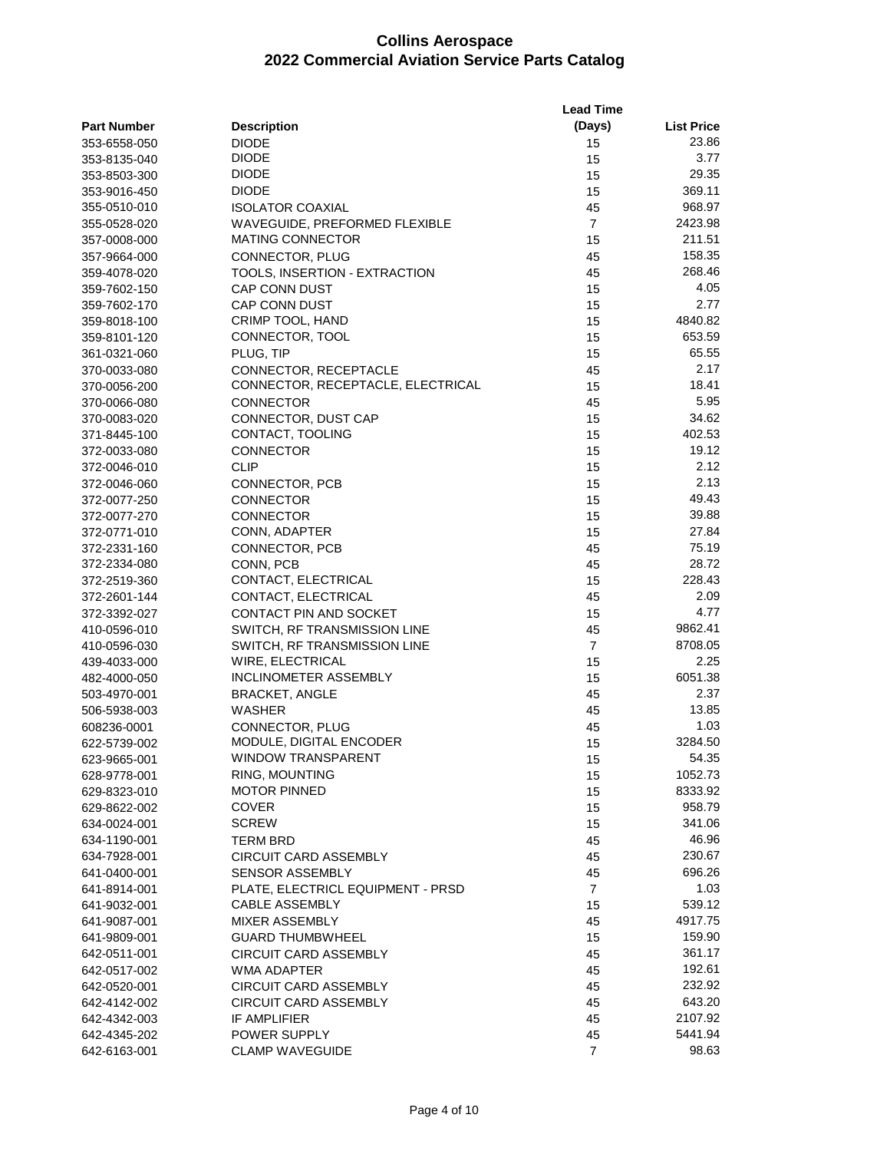|                    |                                   | <b>Lead Time</b> |                   |
|--------------------|-----------------------------------|------------------|-------------------|
| <b>Part Number</b> | <b>Description</b>                | (Days)           | <b>List Price</b> |
| 353-6558-050       | <b>DIODE</b>                      | 15               | 23.86             |
| 353-8135-040       | <b>DIODE</b>                      | 15               | 3.77              |
| 353-8503-300       | <b>DIODE</b>                      | 15               | 29.35             |
| 353-9016-450       | <b>DIODE</b>                      | 15               | 369.11            |
| 355-0510-010       | <b>ISOLATOR COAXIAL</b>           | 45               | 968.97            |
| 355-0528-020       | WAVEGUIDE, PREFORMED FLEXIBLE     | $\overline{7}$   | 2423.98           |
| 357-0008-000       | <b>MATING CONNECTOR</b>           | 15               | 211.51            |
| 357-9664-000       | CONNECTOR, PLUG                   | 45               | 158.35            |
| 359-4078-020       | TOOLS, INSERTION - EXTRACTION     | 45               | 268.46            |
| 359-7602-150       | CAP CONN DUST                     | 15               | 4.05              |
| 359-7602-170       | <b>CAP CONN DUST</b>              | 15               | 2.77              |
| 359-8018-100       | CRIMP TOOL, HAND                  | 15               | 4840.82           |
| 359-8101-120       | CONNECTOR, TOOL                   | 15               | 653.59            |
| 361-0321-060       | PLUG, TIP                         | 15               | 65.55             |
| 370-0033-080       | CONNECTOR, RECEPTACLE             | 45               | 2.17              |
| 370-0056-200       | CONNECTOR, RECEPTACLE, ELECTRICAL | 15               | 18.41             |
| 370-0066-080       | <b>CONNECTOR</b>                  | 45               | 5.95              |
| 370-0083-020       | CONNECTOR, DUST CAP               | 15               | 34.62             |
| 371-8445-100       | CONTACT, TOOLING                  | 15               | 402.53            |
| 372-0033-080       | <b>CONNECTOR</b>                  | 15               | 19.12             |
| 372-0046-010       | <b>CLIP</b>                       | 15               | 2.12              |
| 372-0046-060       | CONNECTOR, PCB                    | 15               | 2.13              |
| 372-0077-250       | <b>CONNECTOR</b>                  | 15               | 49.43             |
| 372-0077-270       | <b>CONNECTOR</b>                  | 15               | 39.88             |
| 372-0771-010       | CONN, ADAPTER                     | 15               | 27.84             |
| 372-2331-160       | CONNECTOR, PCB                    | 45               | 75.19             |
| 372-2334-080       | CONN, PCB                         | 45               | 28.72             |
| 372-2519-360       | CONTACT, ELECTRICAL               | 15               | 228.43            |
| 372-2601-144       | CONTACT, ELECTRICAL               | 45               | 2.09              |
| 372-3392-027       | CONTACT PIN AND SOCKET            | 15               | 4.77              |
| 410-0596-010       | SWITCH, RF TRANSMISSION LINE      | 45               | 9862.41           |
| 410-0596-030       | SWITCH, RF TRANSMISSION LINE      | $\overline{7}$   | 8708.05           |
| 439-4033-000       | WIRE, ELECTRICAL                  | 15               | 2.25              |
| 482-4000-050       | INCLINOMETER ASSEMBLY             | 15               | 6051.38           |
| 503-4970-001       | <b>BRACKET, ANGLE</b>             | 45               | 2.37              |
| 506-5938-003       | <b>WASHER</b>                     | 45               | 13.85             |
| 608236-0001        | CONNECTOR, PLUG                   | 45               | 1.03              |
| 622-5739-002       | MODULE, DIGITAL ENCODER           | 15               | 3284.50           |
| 623-9665-001       | <b>WINDOW TRANSPARENT</b>         | 15               | 54.35             |
| 628-9778-001       | RING, MOUNTING                    | 15               | 1052.73           |
| 629-8323-010       | <b>MOTOR PINNED</b>               | 15               | 8333.92           |
| 629-8622-002       | <b>COVER</b>                      | 15               | 958.79            |
| 634-0024-001       | <b>SCREW</b>                      | 15               | 341.06            |
| 634-1190-001       | TERM BRD                          | 45               | 46.96             |
| 634-7928-001       | <b>CIRCUIT CARD ASSEMBLY</b>      | 45               | 230.67            |
| 641-0400-001       | SENSOR ASSEMBLY                   | 45               | 696.26            |
| 641-8914-001       | PLATE, ELECTRICL EQUIPMENT - PRSD | $\overline{7}$   | 1.03              |
| 641-9032-001       | CABLE ASSEMBLY                    | 15               | 539.12            |
| 641-9087-001       | <b>MIXER ASSEMBLY</b>             | 45               | 4917.75           |
| 641-9809-001       | <b>GUARD THUMBWHEEL</b>           | 15               | 159.90            |
| 642-0511-001       | <b>CIRCUIT CARD ASSEMBLY</b>      | 45               | 361.17            |
| 642-0517-002       | WMA ADAPTER                       | 45               | 192.61            |
| 642-0520-001       | CIRCUIT CARD ASSEMBLY             | 45               | 232.92            |
| 642-4142-002       | <b>CIRCUIT CARD ASSEMBLY</b>      | 45               | 643.20            |
| 642-4342-003       | IF AMPLIFIER                      | 45               | 2107.92           |
| 642-4345-202       | POWER SUPPLY                      | 45               | 5441.94           |
| 642-6163-001       | <b>CLAMP WAVEGUIDE</b>            | $\overline{7}$   | 98.63             |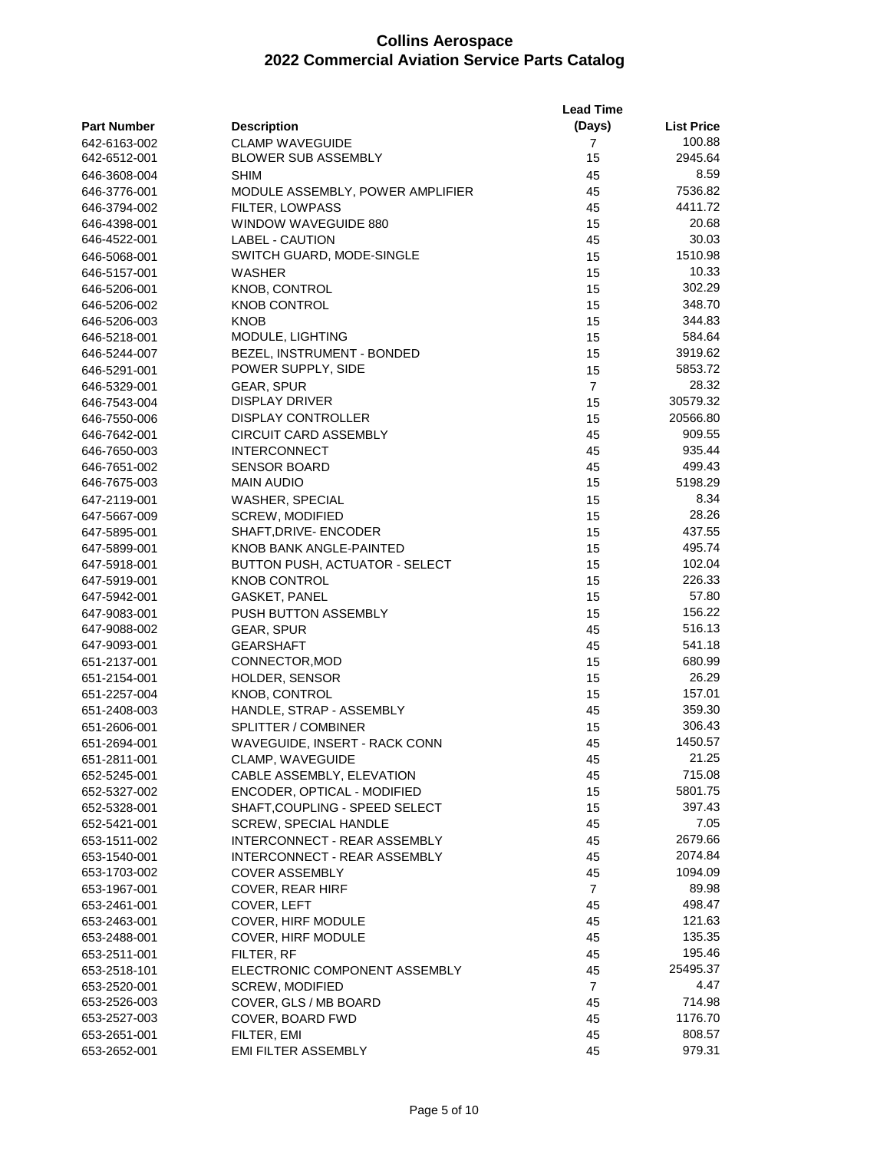|                    |                                                       | <b>Lead Time</b> |                   |  |
|--------------------|-------------------------------------------------------|------------------|-------------------|--|
| <b>Part Number</b> | <b>Description</b>                                    | (Days)           | <b>List Price</b> |  |
| 642-6163-002       | <b>CLAMP WAVEGUIDE</b>                                | 7                | 100.88            |  |
| 642-6512-001       | <b>BLOWER SUB ASSEMBLY</b>                            | 15               | 2945.64           |  |
| 646-3608-004       | <b>SHIM</b>                                           | 45               | 8.59              |  |
| 646-3776-001       | MODULE ASSEMBLY, POWER AMPLIFIER                      | 45               | 7536.82           |  |
| 646-3794-002       | <b>FILTER, LOWPASS</b>                                | 45               | 4411.72           |  |
| 646-4398-001       | WINDOW WAVEGUIDE 880                                  | 15               | 20.68             |  |
| 646-4522-001       | <b>LABEL - CAUTION</b>                                | 45               | 30.03             |  |
| 646-5068-001       | SWITCH GUARD, MODE-SINGLE                             | 15               | 1510.98           |  |
| 646-5157-001       | WASHER                                                | 15               | 10.33             |  |
| 646-5206-001       | KNOB, CONTROL                                         | 15               | 302.29            |  |
| 646-5206-002       | <b>KNOB CONTROL</b>                                   | 15               | 348.70            |  |
| 646-5206-003       | <b>KNOB</b>                                           | 15               | 344.83            |  |
| 646-5218-001       | MODULE, LIGHTING                                      | 15               | 584.64            |  |
| 646-5244-007       | BEZEL, INSTRUMENT - BONDED                            | 15               | 3919.62           |  |
| 646-5291-001       | POWER SUPPLY, SIDE                                    | 15               | 5853.72           |  |
| 646-5329-001       | GEAR, SPUR                                            | $\overline{7}$   | 28.32             |  |
| 646-7543-004       | <b>DISPLAY DRIVER</b>                                 | 15               | 30579.32          |  |
| 646-7550-006       | <b>DISPLAY CONTROLLER</b>                             | 15               | 20566.80          |  |
| 646-7642-001       | <b>CIRCUIT CARD ASSEMBLY</b>                          | 45               | 909.55            |  |
|                    |                                                       | 45               | 935.44            |  |
| 646-7650-003       | <b>INTERCONNECT</b>                                   |                  | 499.43            |  |
| 646-7651-002       | <b>SENSOR BOARD</b>                                   | 45               | 5198.29           |  |
| 646-7675-003       | <b>MAIN AUDIO</b>                                     | 15               |                   |  |
| 647-2119-001       | WASHER, SPECIAL                                       | 15               | 8.34              |  |
| 647-5667-009       | SCREW, MODIFIED                                       | 15               | 28.26             |  |
| 647-5895-001       | SHAFT, DRIVE- ENCODER                                 | 15               | 437.55            |  |
| 647-5899-001       | KNOB BANK ANGLE-PAINTED                               | 15               | 495.74            |  |
| 647-5918-001       | BUTTON PUSH, ACTUATOR - SELECT                        | 15               | 102.04            |  |
| 647-5919-001       | <b>KNOB CONTROL</b>                                   | 15               | 226.33            |  |
| 647-5942-001       | <b>GASKET, PANEL</b>                                  | 15               | 57.80             |  |
| 647-9083-001       | PUSH BUTTON ASSEMBLY                                  | 15               | 156.22            |  |
| 647-9088-002       | GEAR, SPUR                                            | 45               | 516.13            |  |
| 647-9093-001       | <b>GEARSHAFT</b>                                      | 45               | 541.18            |  |
| 651-2137-001       | CONNECTOR, MOD                                        | 15               | 680.99            |  |
| 651-2154-001       | HOLDER, SENSOR                                        | 15               | 26.29             |  |
| 651-2257-004       | <b>KNOB, CONTROL</b>                                  | 15               | 157.01            |  |
| 651-2408-003       | HANDLE, STRAP - ASSEMBLY                              | 45               | 359.30            |  |
| 651-2606-001       | <b>SPLITTER / COMBINER</b>                            | 15               | 306.43            |  |
| 651-2694-001       | WAVEGUIDE, INSERT - RACK CONN                         | 45               | 1450.57           |  |
| 651-2811-001       | CLAMP, WAVEGUIDE                                      | 45               | 21.25             |  |
| 652-5245-001       | CABLE ASSEMBLY, ELEVATION                             | 45               | 715.08            |  |
| 652-5327-002       | ENCODER, OPTICAL - MODIFIED                           | 15               | 5801.75           |  |
| 652-5328-001       | SHAFT, COUPLING - SPEED SELECT                        | 15               | 397.43            |  |
| 652-5421-001       | <b>SCREW. SPECIAL HANDLE</b>                          | 45               | 7.05              |  |
|                    | INTERCONNECT - REAR ASSEMBLY                          | 45               | 2679.66           |  |
| 653-1511-002       |                                                       | 45               | 2074.84           |  |
| 653-1540-001       | INTERCONNECT - REAR ASSEMBLY<br><b>COVER ASSEMBLY</b> |                  | 1094.09           |  |
| 653-1703-002       |                                                       | 45               |                   |  |
| 653-1967-001       | <b>COVER, REAR HIRF</b>                               | $\overline{7}$   | 89.98             |  |
| 653-2461-001       | COVER, LEFT                                           | 45               | 498.47            |  |
| 653-2463-001       | COVER, HIRF MODULE                                    | 45               | 121.63            |  |
| 653-2488-001       | COVER, HIRF MODULE                                    | 45               | 135.35            |  |
| 653-2511-001       | FILTER, RF                                            | 45               | 195.46            |  |
| 653-2518-101       | ELECTRONIC COMPONENT ASSEMBLY                         | 45               | 25495.37          |  |
| 653-2520-001       | <b>SCREW, MODIFIED</b>                                | $\overline{7}$   | 4.47              |  |
| 653-2526-003       | COVER, GLS / MB BOARD                                 | 45               | 714.98            |  |
| 653-2527-003       | COVER, BOARD FWD                                      | 45               | 1176.70           |  |
| 653-2651-001       | FILTER, EMI                                           | 45               | 808.57            |  |
| 653-2652-001       | <b>EMI FILTER ASSEMBLY</b>                            | 45               | 979.31            |  |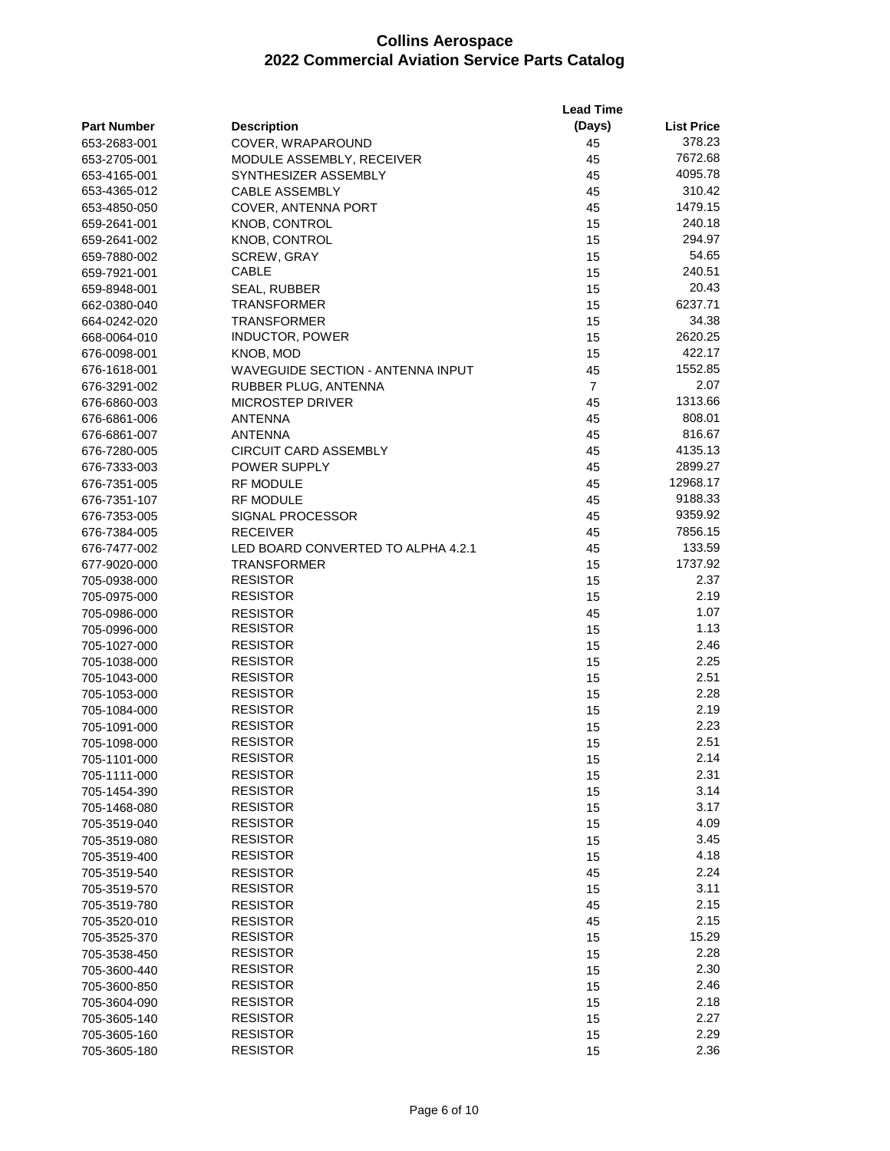|                    |                                    | <b>Lead Time</b> |                   |
|--------------------|------------------------------------|------------------|-------------------|
| <b>Part Number</b> | <b>Description</b>                 | (Days)           | <b>List Price</b> |
| 653-2683-001       | COVER, WRAPAROUND                  | 45               | 378.23            |
| 653-2705-001       | MODULE ASSEMBLY, RECEIVER          | 45               | 7672.68           |
| 653-4165-001       | SYNTHESIZER ASSEMBLY               | 45               | 4095.78           |
| 653-4365-012       | <b>CABLE ASSEMBLY</b>              | 45               | 310.42            |
| 653-4850-050       | COVER, ANTENNA PORT                | 45               | 1479.15           |
| 659-2641-001       | <b>KNOB, CONTROL</b>               | 15               | 240.18            |
| 659-2641-002       | KNOB, CONTROL                      | 15               | 294.97            |
| 659-7880-002       | <b>SCREW, GRAY</b>                 | 15               | 54.65             |
| 659-7921-001       | <b>CABLE</b>                       | 15               | 240.51            |
| 659-8948-001       | SEAL, RUBBER                       | 15               | 20.43             |
| 662-0380-040       | <b>TRANSFORMER</b>                 | 15               | 6237.71           |
| 664-0242-020       | <b>TRANSFORMER</b>                 | 15               | 34.38             |
| 668-0064-010       | <b>INDUCTOR, POWER</b>             | 15               | 2620.25           |
| 676-0098-001       | KNOB, MOD                          | 15               | 422.17            |
| 676-1618-001       | WAVEGUIDE SECTION - ANTENNA INPUT  | 45               | 1552.85           |
| 676-3291-002       | RUBBER PLUG, ANTENNA               | $\overline{7}$   | 2.07              |
| 676-6860-003       | <b>MICROSTEP DRIVER</b>            | 45               | 1313.66           |
| 676-6861-006       | <b>ANTENNA</b>                     | 45               | 808.01            |
| 676-6861-007       | ANTENNA                            | 45               | 816.67            |
| 676-7280-005       | <b>CIRCUIT CARD ASSEMBLY</b>       | 45               | 4135.13           |
| 676-7333-003       | POWER SUPPLY                       | 45               | 2899.27           |
| 676-7351-005       | <b>RF MODULE</b>                   | 45               | 12968.17          |
| 676-7351-107       | <b>RF MODULE</b>                   | 45               | 9188.33           |
| 676-7353-005       | SIGNAL PROCESSOR                   | 45               | 9359.92           |
| 676-7384-005       | <b>RECEIVER</b>                    | 45               | 7856.15           |
| 676-7477-002       | LED BOARD CONVERTED TO ALPHA 4.2.1 | 45               | 133.59            |
| 677-9020-000       | <b>TRANSFORMER</b>                 | 15               | 1737.92           |
| 705-0938-000       | <b>RESISTOR</b>                    | 15               | 2.37              |
| 705-0975-000       | <b>RESISTOR</b>                    | 15               | 2.19              |
| 705-0986-000       | <b>RESISTOR</b>                    | 45               | 1.07              |
| 705-0996-000       | <b>RESISTOR</b>                    | 15               | 1.13              |
| 705-1027-000       | <b>RESISTOR</b>                    | 15               | 2.46              |
| 705-1038-000       | <b>RESISTOR</b>                    | 15               | 2.25              |
| 705-1043-000       | <b>RESISTOR</b>                    | 15               | 2.51              |
| 705-1053-000       | <b>RESISTOR</b>                    | 15               | 2.28              |
| 705-1084-000       | <b>RESISTOR</b>                    | 15               | 2.19              |
| 705-1091-000       | <b>RESISTOR</b>                    | 15               | 2.23              |
| 705-1098-000       | <b>RESISTOR</b>                    | 15               | 2.51              |
| 705-1101-000       | <b>RESISTOR</b>                    | 15               | 2.14              |
| 705-1111-000       | <b>RESISTOR</b>                    | 15               | 2.31              |
| 705-1454-390       | <b>RESISTOR</b>                    | 15               | 3.14              |
| 705-1468-080       | <b>RESISTOR</b>                    | 15               | 3.17              |
| 705-3519-040       | <b>RESISTOR</b>                    | 15               | 4.09              |
| 705-3519-080       | <b>RESISTOR</b>                    | 15               | 3.45              |
| 705-3519-400       | <b>RESISTOR</b>                    | 15               | 4.18              |
| 705-3519-540       | <b>RESISTOR</b>                    | 45               | 2.24              |
| 705-3519-570       | <b>RESISTOR</b>                    | 15               | 3.11              |
| 705-3519-780       | <b>RESISTOR</b>                    | 45               | 2.15              |
| 705-3520-010       | <b>RESISTOR</b>                    | 45               | 2.15              |
| 705-3525-370       | <b>RESISTOR</b>                    | 15               | 15.29             |
| 705-3538-450       | <b>RESISTOR</b>                    | 15               | 2.28              |
| 705-3600-440       | <b>RESISTOR</b>                    | 15               | 2.30              |
| 705-3600-850       | <b>RESISTOR</b>                    | 15               | 2.46              |
| 705-3604-090       | <b>RESISTOR</b>                    | 15               | 2.18              |
| 705-3605-140       | <b>RESISTOR</b>                    | 15               | 2.27              |
| 705-3605-160       | <b>RESISTOR</b><br><b>RESISTOR</b> | 15               | 2.29<br>2.36      |
| 705-3605-180       |                                    | 15               |                   |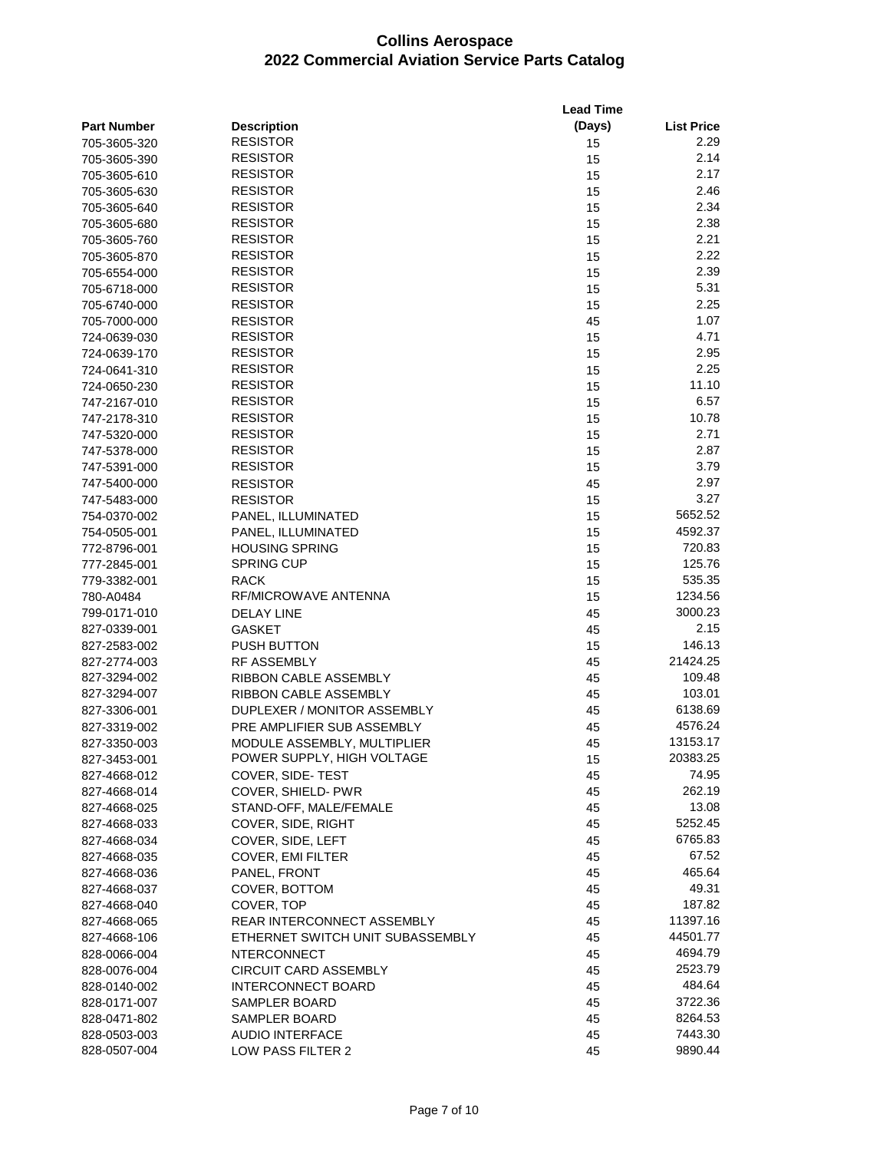|                    |                                  | <b>Lead Time</b> |                   |
|--------------------|----------------------------------|------------------|-------------------|
| <b>Part Number</b> | <b>Description</b>               | (Days)           | <b>List Price</b> |
| 705-3605-320       | <b>RESISTOR</b>                  | 15               | 2.29              |
| 705-3605-390       | <b>RESISTOR</b>                  | 15               | 2.14              |
| 705-3605-610       | <b>RESISTOR</b>                  | 15               | 2.17              |
| 705-3605-630       | <b>RESISTOR</b>                  | 15               | 2.46              |
| 705-3605-640       | <b>RESISTOR</b>                  | 15               | 2.34              |
| 705-3605-680       | <b>RESISTOR</b>                  | 15               | 2.38              |
| 705-3605-760       | <b>RESISTOR</b>                  | 15               | 2.21              |
| 705-3605-870       | <b>RESISTOR</b>                  | 15               | 2.22              |
| 705-6554-000       | <b>RESISTOR</b>                  | 15               | 2.39              |
| 705-6718-000       | <b>RESISTOR</b>                  | 15               | 5.31              |
| 705-6740-000       | <b>RESISTOR</b>                  | 15               | 2.25              |
| 705-7000-000       | <b>RESISTOR</b>                  | 45               | 1.07              |
| 724-0639-030       | <b>RESISTOR</b>                  | 15               | 4.71              |
| 724-0639-170       | <b>RESISTOR</b>                  | 15               | 2.95              |
| 724-0641-310       | <b>RESISTOR</b>                  | 15               | 2.25              |
| 724-0650-230       | <b>RESISTOR</b>                  | 15               | 11.10             |
| 747-2167-010       | <b>RESISTOR</b>                  | 15               | 6.57              |
| 747-2178-310       | <b>RESISTOR</b>                  | 15               | 10.78             |
| 747-5320-000       | <b>RESISTOR</b>                  | 15               | 2.71              |
| 747-5378-000       | <b>RESISTOR</b>                  | 15               | 2.87              |
| 747-5391-000       | <b>RESISTOR</b>                  | 15               | 3.79              |
| 747-5400-000       | <b>RESISTOR</b>                  | 45               | 2.97              |
| 747-5483-000       | <b>RESISTOR</b>                  | 15               | 3.27              |
| 754-0370-002       | PANEL, ILLUMINATED               | 15               | 5652.52           |
| 754-0505-001       | PANEL, ILLUMINATED               | 15               | 4592.37           |
| 772-8796-001       | <b>HOUSING SPRING</b>            | 15               | 720.83            |
| 777-2845-001       | <b>SPRING CUP</b>                | 15               | 125.76            |
| 779-3382-001       | <b>RACK</b>                      | 15               | 535.35            |
| 780-A0484          | RF/MICROWAVE ANTENNA             | 15               | 1234.56           |
| 799-0171-010       | <b>DELAY LINE</b>                | 45               | 3000.23           |
| 827-0339-001       | <b>GASKET</b>                    | 45               | 2.15              |
| 827-2583-002       | <b>PUSH BUTTON</b>               | 15               | 146.13            |
| 827-2774-003       | <b>RF ASSEMBLY</b>               | 45               | 21424.25          |
| 827-3294-002       | RIBBON CABLE ASSEMBLY            | 45               | 109.48            |
| 827-3294-007       | RIBBON CABLE ASSEMBLY            | 45               | 103.01            |
| 827-3306-001       | DUPLEXER / MONITOR ASSEMBLY      | 45               | 6138.69           |
| 827-3319-002       | PRE AMPLIFIER SUB ASSEMBLY       | 45               | 4576.24           |
| 827-3350-003       | MODULE ASSEMBLY, MULTIPLIER      | 45               | 13153.17          |
| 827-3453-001       | POWER SUPPLY, HIGH VOLTAGE       | 15               | 20383.25          |
| 827-4668-012       | COVER, SIDE-TEST                 | 45               | 74.95             |
| 827-4668-014       | COVER, SHIELD- PWR               | 45               | 262.19            |
| 827-4668-025       | STAND-OFF, MALE/FEMALE           | 45               | 13.08             |
| 827-4668-033       | COVER, SIDE, RIGHT               | 45               | 5252.45           |
| 827-4668-034       | COVER, SIDE, LEFT                | 45               | 6765.83           |
| 827-4668-035       | COVER, EMI FILTER                | 45               | 67.52             |
| 827-4668-036       | PANEL, FRONT                     | 45               | 465.64            |
| 827-4668-037       | COVER, BOTTOM                    | 45               | 49.31             |
| 827-4668-040       | COVER, TOP                       | 45               | 187.82            |
| 827-4668-065       | REAR INTERCONNECT ASSEMBLY       | 45               | 11397.16          |
| 827-4668-106       | ETHERNET SWITCH UNIT SUBASSEMBLY | 45               | 44501.77          |
| 828-0066-004       | <b>NTERCONNECT</b>               | 45               | 4694.79           |
| 828-0076-004       | <b>CIRCUIT CARD ASSEMBLY</b>     | 45               | 2523.79           |
| 828-0140-002       | <b>INTERCONNECT BOARD</b>        | 45               | 484.64            |
| 828-0171-007       | SAMPLER BOARD                    | 45               | 3722.36           |
| 828-0471-802       | SAMPLER BOARD                    | 45               | 8264.53           |
| 828-0503-003       | <b>AUDIO INTERFACE</b>           | 45               | 7443.30           |
| 828-0507-004       | LOW PASS FILTER 2                | 45               | 9890.44           |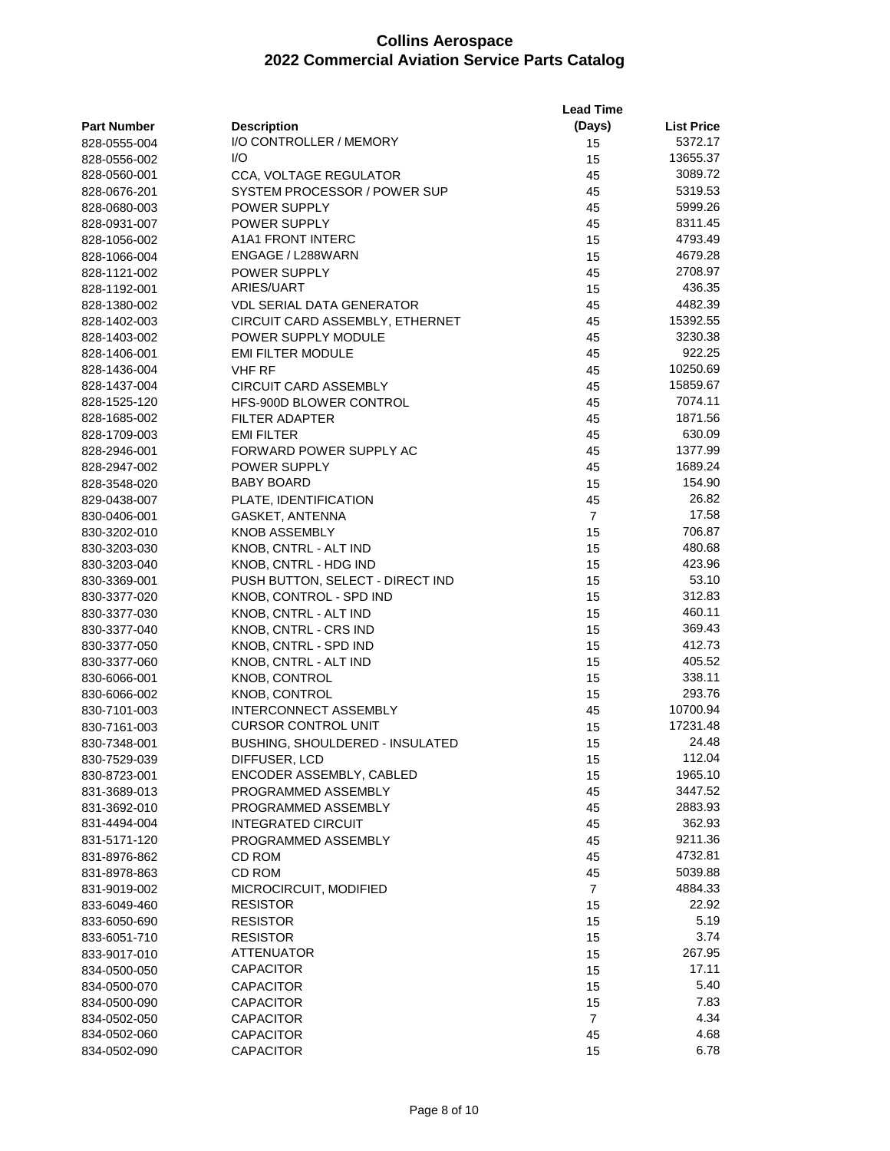|                    |                                  | <b>Lead Time</b> |                   |
|--------------------|----------------------------------|------------------|-------------------|
| <b>Part Number</b> | <b>Description</b>               | (Days)           | <b>List Price</b> |
| 828-0555-004       | I/O CONTROLLER / MEMORY          | 15               | 5372.17           |
| 828-0556-002       | I/O                              | 15               | 13655.37          |
| 828-0560-001       | <b>CCA, VOLTAGE REGULATOR</b>    | 45               | 3089.72           |
| 828-0676-201       | SYSTEM PROCESSOR / POWER SUP     | 45               | 5319.53           |
| 828-0680-003       | POWER SUPPLY                     | 45               | 5999.26           |
| 828-0931-007       | <b>POWER SUPPLY</b>              | 45               | 8311.45           |
| 828-1056-002       | A1A1 FRONT INTERC                | 15               | 4793.49           |
| 828-1066-004       | ENGAGE / L288WARN                | 15               | 4679.28           |
| 828-1121-002       | POWER SUPPLY                     | 45               | 2708.97           |
| 828-1192-001       | ARIES/UART                       | 15               | 436.35            |
| 828-1380-002       | VDL SERIAL DATA GENERATOR        | 45               | 4482.39           |
| 828-1402-003       | CIRCUIT CARD ASSEMBLY, ETHERNET  | 45               | 15392.55          |
| 828-1403-002       | POWER SUPPLY MODULE              | 45               | 3230.38           |
| 828-1406-001       | <b>EMI FILTER MODULE</b>         | 45               | 922.25            |
| 828-1436-004       | <b>VHF RF</b>                    | 45               | 10250.69          |
| 828-1437-004       | CIRCUIT CARD ASSEMBLY            | 45               | 15859.67          |
| 828-1525-120       | HFS-900D BLOWER CONTROL          | 45               | 7074.11           |
| 828-1685-002       | FILTER ADAPTER                   | 45               | 1871.56           |
| 828-1709-003       | <b>EMI FILTER</b>                | 45               | 630.09            |
| 828-2946-001       | FORWARD POWER SUPPLY AC          | 45               | 1377.99           |
| 828-2947-002       | <b>POWER SUPPLY</b>              | 45               | 1689.24           |
| 828-3548-020       | BABY BOARD                       | 15               | 154.90            |
| 829-0438-007       | PLATE, IDENTIFICATION            | 45               | 26.82             |
| 830-0406-001       | GASKET, ANTENNA                  | $\overline{7}$   | 17.58             |
| 830-3202-010       | <b>KNOB ASSEMBLY</b>             | 15               | 706.87            |
| 830-3203-030       | KNOB, CNTRL - ALT IND            | 15               | 480.68            |
| 830-3203-040       | KNOB, CNTRL - HDG IND            | 15               | 423.96            |
| 830-3369-001       | PUSH BUTTON, SELECT - DIRECT IND | 15               | 53.10             |
| 830-3377-020       | KNOB, CONTROL - SPD IND          | 15               | 312.83            |
| 830-3377-030       | KNOB, CNTRL - ALT IND            | 15               | 460.11            |
| 830-3377-040       | KNOB, CNTRL - CRS IND            | 15               | 369.43            |
| 830-3377-050       | KNOB, CNTRL - SPD IND            | 15               | 412.73            |
| 830-3377-060       | KNOB, CNTRL - ALT IND            | 15               | 405.52            |
| 830-6066-001       | <b>KNOB, CONTROL</b>             | 15               | 338.11            |
| 830-6066-002       | KNOB, CONTROL                    | 15               | 293.76            |
| 830-7101-003       | <b>INTERCONNECT ASSEMBLY</b>     | 45               | 10700.94          |
| 830-7161-003       | <b>CURSOR CONTROL UNIT</b>       | 15               | 17231.48          |
| 830-7348-001       | BUSHING, SHOULDERED - INSULATED  | 15               | 24.48             |
| 830-7529-039       | DIFFUSER, LCD                    | 15               | 112.04            |
| 830-8723-001       | ENCODER ASSEMBLY, CABLED         | 15               | 1965.10           |
| 831-3689-013       | PROGRAMMED ASSEMBLY              | 45               | 3447.52           |
| 831-3692-010       | PROGRAMMED ASSEMBLY              | 45               | 2883.93           |
| 831-4494-004       | <b>INTEGRATED CIRCUIT</b>        | 45               | 362.93            |
| 831-5171-120       | PROGRAMMED ASSEMBLY              | 45               | 9211.36           |
| 831-8976-862       | CD ROM                           | 45               | 4732.81           |
| 831-8978-863       | CD ROM                           | 45               | 5039.88           |
| 831-9019-002       | MICROCIRCUIT, MODIFIED           | $\overline{7}$   | 4884.33           |
| 833-6049-460       | <b>RESISTOR</b>                  | 15               | 22.92             |
| 833-6050-690       | <b>RESISTOR</b>                  | 15               | 5.19              |
| 833-6051-710       | <b>RESISTOR</b>                  | 15               | 3.74              |
| 833-9017-010       | ATTENUATOR                       | 15               | 267.95            |
| 834-0500-050       | <b>CAPACITOR</b>                 | 15               | 17.11             |
| 834-0500-070       | <b>CAPACITOR</b>                 | 15               | 5.40              |
| 834-0500-090       | <b>CAPACITOR</b>                 | 15               | 7.83              |
| 834-0502-050       | <b>CAPACITOR</b>                 | $\overline{7}$   | 4.34              |
| 834-0502-060       | <b>CAPACITOR</b>                 | 45               | 4.68              |
| 834-0502-090       | CAPACITOR                        | 15               | 6.78              |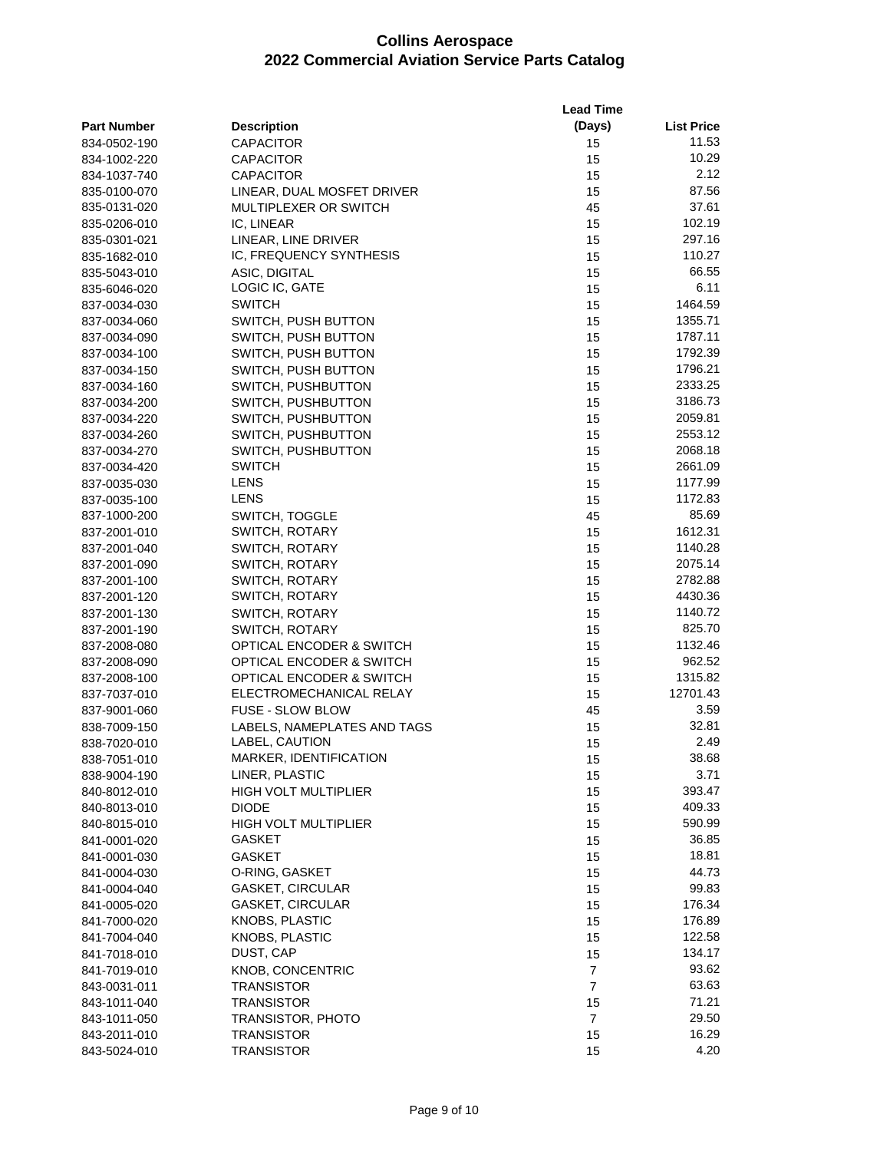|                    |                             | <b>Lead Time</b> |                   |  |
|--------------------|-----------------------------|------------------|-------------------|--|
| <b>Part Number</b> | <b>Description</b>          | (Days)           | <b>List Price</b> |  |
| 834-0502-190       | <b>CAPACITOR</b>            | 15               | 11.53             |  |
| 834-1002-220       | <b>CAPACITOR</b>            | 15               | 10.29             |  |
| 834-1037-740       | <b>CAPACITOR</b>            | 15               | 2.12              |  |
| 835-0100-070       | LINEAR, DUAL MOSFET DRIVER  | 15               | 87.56             |  |
| 835-0131-020       | MULTIPLEXER OR SWITCH       | 45               | 37.61             |  |
| 835-0206-010       | IC, LINEAR                  | 15               | 102.19            |  |
| 835-0301-021       | LINEAR, LINE DRIVER         | 15               | 297.16            |  |
| 835-1682-010       | IC, FREQUENCY SYNTHESIS     | 15               | 110.27            |  |
| 835-5043-010       | ASIC, DIGITAL               | 15               | 66.55             |  |
| 835-6046-020       | LOGIC IC, GATE              | 15               | 6.11              |  |
| 837-0034-030       | <b>SWITCH</b>               | 15               | 1464.59           |  |
| 837-0034-060       | SWITCH, PUSH BUTTON         | 15               | 1355.71           |  |
| 837-0034-090       | SWITCH, PUSH BUTTON         | 15               | 1787.11           |  |
| 837-0034-100       | SWITCH, PUSH BUTTON         | 15               | 1792.39           |  |
| 837-0034-150       | SWITCH, PUSH BUTTON         | 15               | 1796.21           |  |
| 837-0034-160       | SWITCH, PUSHBUTTON          | 15               | 2333.25           |  |
| 837-0034-200       | SWITCH, PUSHBUTTON          | 15               | 3186.73           |  |
| 837-0034-220       | SWITCH, PUSHBUTTON          | 15               | 2059.81           |  |
| 837-0034-260       | SWITCH, PUSHBUTTON          | 15               | 2553.12           |  |
| 837-0034-270       | SWITCH, PUSHBUTTON          | 15               | 2068.18           |  |
| 837-0034-420       | <b>SWITCH</b>               | 15               | 2661.09           |  |
| 837-0035-030       | LENS                        | 15               | 1177.99           |  |
| 837-0035-100       | LENS                        | 15               | 1172.83           |  |
| 837-1000-200       |                             | 45               | 85.69             |  |
|                    | SWITCH, TOGGLE              |                  | 1612.31           |  |
| 837-2001-010       | SWITCH, ROTARY              | 15               | 1140.28           |  |
| 837-2001-040       | SWITCH, ROTARY              | 15               |                   |  |
| 837-2001-090       | SWITCH, ROTARY              | 15               | 2075.14           |  |
| 837-2001-100       | SWITCH, ROTARY              | 15               | 2782.88           |  |
| 837-2001-120       | SWITCH, ROTARY              | 15               | 4430.36           |  |
| 837-2001-130       | SWITCH, ROTARY              | 15               | 1140.72           |  |
| 837-2001-190       | <b>SWITCH, ROTARY</b>       | 15               | 825.70            |  |
| 837-2008-080       | OPTICAL ENCODER & SWITCH    | 15               | 1132.46           |  |
| 837-2008-090       | OPTICAL ENCODER & SWITCH    | 15               | 962.52            |  |
| 837-2008-100       | OPTICAL ENCODER & SWITCH    | 15               | 1315.82           |  |
| 837-7037-010       | ELECTROMECHANICAL RELAY     | 15               | 12701.43          |  |
| 837-9001-060       | <b>FUSE - SLOW BLOW</b>     | 45               | 3.59              |  |
| 838-7009-150       | LABELS, NAMEPLATES AND TAGS | 15               | 32.81             |  |
| 838-7020-010       | LABEL, CAUTION              | 15               | 2.49              |  |
| 838-7051-010       | MARKER, IDENTIFICATION      | 15               | 38.68             |  |
| 838-9004-190       | LINER, PLASTIC              | 15               | 3.71              |  |
| 840-8012-010       | <b>HIGH VOLT MULTIPLIER</b> | 15               | 393.47            |  |
| 840-8013-010       | <b>DIODE</b>                | 15               | 409.33            |  |
| 840-8015-010       | HIGH VOLT MULTIPLIER        | 15               | 590.99            |  |
| 841-0001-020       | GASKET                      | 15               | 36.85             |  |
| 841-0001-030       | <b>GASKET</b>               | 15               | 18.81             |  |
| 841-0004-030       | O-RING, GASKET              | 15               | 44.73             |  |
| 841-0004-040       | <b>GASKET, CIRCULAR</b>     | 15               | 99.83             |  |
| 841-0005-020       | GASKET, CIRCULAR            | 15               | 176.34            |  |
| 841-7000-020       | KNOBS, PLASTIC              | 15               | 176.89            |  |
| 841-7004-040       | <b>KNOBS, PLASTIC</b>       | 15               | 122.58            |  |
| 841-7018-010       | DUST, CAP                   | 15               | 134.17            |  |
| 841-7019-010       | KNOB, CONCENTRIC            | 7                | 93.62             |  |
| 843-0031-011       | <b>TRANSISTOR</b>           | $\overline{7}$   | 63.63             |  |
| 843-1011-040       | <b>TRANSISTOR</b>           | 15               | 71.21             |  |
| 843-1011-050       | TRANSISTOR, PHOTO           | $\overline{7}$   | 29.50             |  |
| 843-2011-010       | <b>TRANSISTOR</b>           | 15               | 16.29             |  |
| 843-5024-010       | <b>TRANSISTOR</b>           | 15               | 4.20              |  |